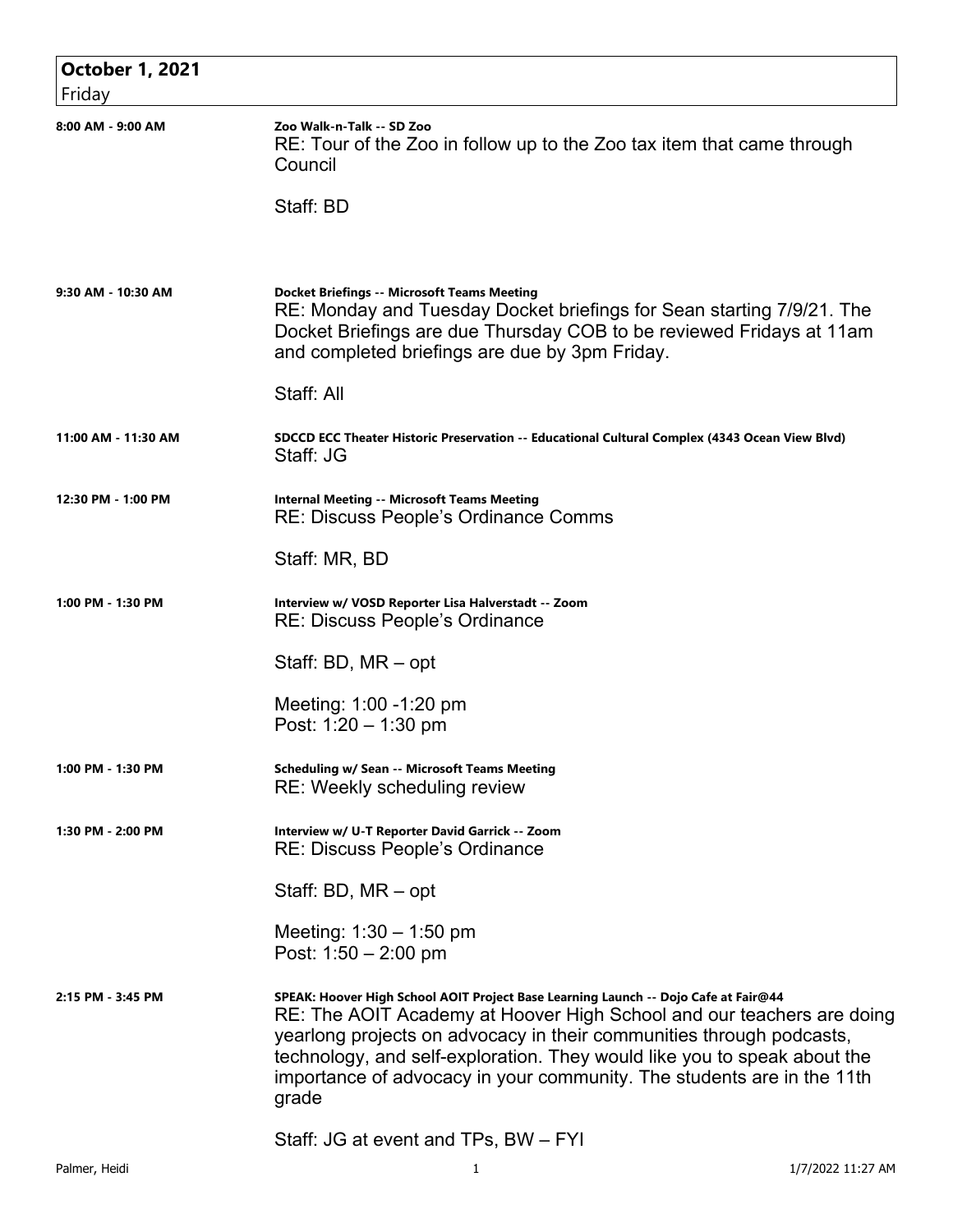| <b>October 1, 2021</b> |                                                                                                                                                                                                                                                                                                                                                                                                     |
|------------------------|-----------------------------------------------------------------------------------------------------------------------------------------------------------------------------------------------------------------------------------------------------------------------------------------------------------------------------------------------------------------------------------------------------|
| Friday                 |                                                                                                                                                                                                                                                                                                                                                                                                     |
| 8:00 AM - 9:00 AM      | Zoo Walk-n-Talk -- SD Zoo<br>RE: Tour of the Zoo in follow up to the Zoo tax item that came through<br>Council                                                                                                                                                                                                                                                                                      |
|                        | Staff: BD                                                                                                                                                                                                                                                                                                                                                                                           |
| 9:30 AM - 10:30 AM     | <b>Docket Briefings -- Microsoft Teams Meeting</b><br>RE: Monday and Tuesday Docket briefings for Sean starting 7/9/21. The<br>Docket Briefings are due Thursday COB to be reviewed Fridays at 11am<br>and completed briefings are due by 3pm Friday.                                                                                                                                               |
|                        | Staff: All                                                                                                                                                                                                                                                                                                                                                                                          |
| 11:00 AM - 11:30 AM    | SDCCD ECC Theater Historic Preservation -- Educational Cultural Complex (4343 Ocean View Blvd)<br>Staff: JG                                                                                                                                                                                                                                                                                         |
| 12:30 PM - 1:00 PM     | <b>Internal Meeting -- Microsoft Teams Meeting</b><br><b>RE: Discuss People's Ordinance Comms</b>                                                                                                                                                                                                                                                                                                   |
|                        | Staff: MR, BD                                                                                                                                                                                                                                                                                                                                                                                       |
| 1:00 PM - 1:30 PM      | Interview w/ VOSD Reporter Lisa Halverstadt -- Zoom<br>RE: Discuss People's Ordinance                                                                                                                                                                                                                                                                                                               |
|                        | Staff: BD, MR - opt                                                                                                                                                                                                                                                                                                                                                                                 |
|                        | Meeting: 1:00 -1:20 pm<br>Post: $1:20 - 1:30$ pm                                                                                                                                                                                                                                                                                                                                                    |
| 1:00 PM - 1:30 PM      | <b>Scheduling w/ Sean -- Microsoft Teams Meeting</b><br>RE: Weekly scheduling review                                                                                                                                                                                                                                                                                                                |
| 1:30 PM - 2:00 PM      | Interview w/ U-T Reporter David Garrick -- Zoom<br><b>RE: Discuss People's Ordinance</b>                                                                                                                                                                                                                                                                                                            |
|                        | Staff: BD, MR – opt                                                                                                                                                                                                                                                                                                                                                                                 |
|                        | Meeting: $1:30 - 1:50$ pm<br>Post: $1:50 - 2:00$ pm                                                                                                                                                                                                                                                                                                                                                 |
| 2:15 PM - 3:45 PM      | SPEAK: Hoover High School AOIT Project Base Learning Launch -- Dojo Cafe at Fair@44<br>RE: The AOIT Academy at Hoover High School and our teachers are doing<br>yearlong projects on advocacy in their communities through podcasts,<br>technology, and self-exploration. They would like you to speak about the<br>importance of advocacy in your community. The students are in the 11th<br>grade |
|                        | Staff: JG at event and TPs, BW - FYI                                                                                                                                                                                                                                                                                                                                                                |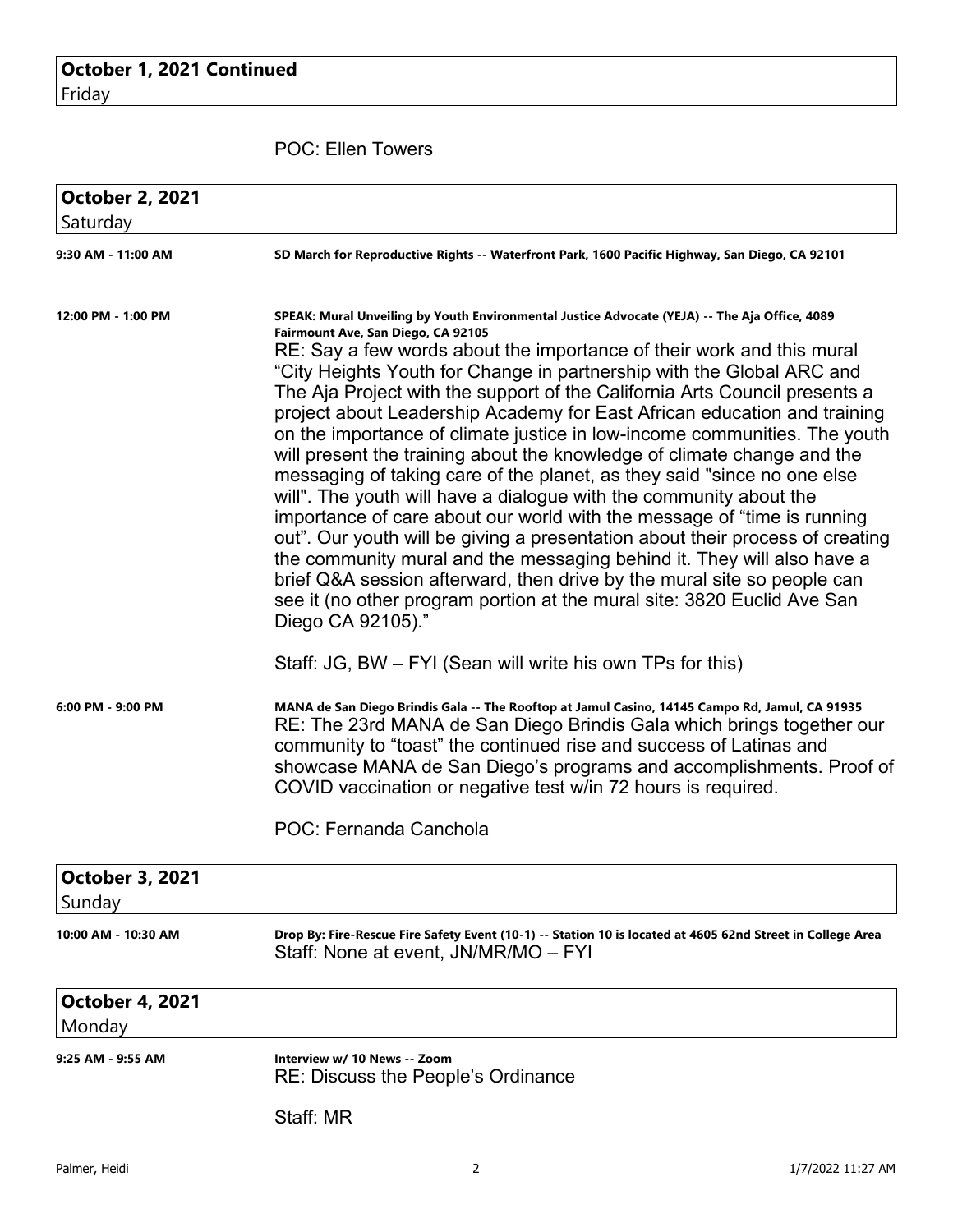POC: Ellen Towers

| <b>October 2, 2021</b><br>Saturday |                                                                                                                                                                                                                                                                                                                                                                                                                                                                                                                                                                                                                                                                                                                                                                                                                                                                                                                                                                                                                                                                                                                                                                           |
|------------------------------------|---------------------------------------------------------------------------------------------------------------------------------------------------------------------------------------------------------------------------------------------------------------------------------------------------------------------------------------------------------------------------------------------------------------------------------------------------------------------------------------------------------------------------------------------------------------------------------------------------------------------------------------------------------------------------------------------------------------------------------------------------------------------------------------------------------------------------------------------------------------------------------------------------------------------------------------------------------------------------------------------------------------------------------------------------------------------------------------------------------------------------------------------------------------------------|
| 9:30 AM - 11:00 AM                 | SD March for Reproductive Rights -- Waterfront Park, 1600 Pacific Highway, San Diego, CA 92101                                                                                                                                                                                                                                                                                                                                                                                                                                                                                                                                                                                                                                                                                                                                                                                                                                                                                                                                                                                                                                                                            |
| 12:00 PM - 1:00 PM                 | SPEAK: Mural Unveiling by Youth Environmental Justice Advocate (YEJA) -- The Aja Office, 4089<br>Fairmount Ave, San Diego, CA 92105<br>RE: Say a few words about the importance of their work and this mural<br>"City Heights Youth for Change in partnership with the Global ARC and<br>The Aja Project with the support of the California Arts Council presents a<br>project about Leadership Academy for East African education and training<br>on the importance of climate justice in low-income communities. The youth<br>will present the training about the knowledge of climate change and the<br>messaging of taking care of the planet, as they said "since no one else<br>will". The youth will have a dialogue with the community about the<br>importance of care about our world with the message of "time is running<br>out". Our youth will be giving a presentation about their process of creating<br>the community mural and the messaging behind it. They will also have a<br>brief Q&A session afterward, then drive by the mural site so people can<br>see it (no other program portion at the mural site: 3820 Euclid Ave San<br>Diego CA 92105)." |
|                                    | Staff: JG, BW – FYI (Sean will write his own TPs for this)                                                                                                                                                                                                                                                                                                                                                                                                                                                                                                                                                                                                                                                                                                                                                                                                                                                                                                                                                                                                                                                                                                                |
| 6:00 PM - 9:00 PM                  | MANA de San Diego Brindis Gala -- The Rooftop at Jamul Casino, 14145 Campo Rd, Jamul, CA 91935<br>RE: The 23rd MANA de San Diego Brindis Gala which brings together our<br>community to "toast" the continued rise and success of Latinas and<br>showcase MANA de San Diego's programs and accomplishments. Proof of<br>COVID vaccination or negative test w/in 72 hours is required.                                                                                                                                                                                                                                                                                                                                                                                                                                                                                                                                                                                                                                                                                                                                                                                     |
|                                    | POC: Fernanda Canchola                                                                                                                                                                                                                                                                                                                                                                                                                                                                                                                                                                                                                                                                                                                                                                                                                                                                                                                                                                                                                                                                                                                                                    |
| <b>October 3, 2021</b><br>Sunday   |                                                                                                                                                                                                                                                                                                                                                                                                                                                                                                                                                                                                                                                                                                                                                                                                                                                                                                                                                                                                                                                                                                                                                                           |
| 10:00 AM - 10:30 AM                | Drop By: Fire-Rescue Fire Safety Event (10-1) -- Station 10 is located at 4605 62nd Street in College Area<br>Staff: None at event, JN/MR/MO - FYI                                                                                                                                                                                                                                                                                                                                                                                                                                                                                                                                                                                                                                                                                                                                                                                                                                                                                                                                                                                                                        |
| <b>October 4, 2021</b><br>Monday   |                                                                                                                                                                                                                                                                                                                                                                                                                                                                                                                                                                                                                                                                                                                                                                                                                                                                                                                                                                                                                                                                                                                                                                           |
| 9:25 AM - 9:55 AM                  | Interview w/ 10 News -- Zoom<br>RE: Discuss the People's Ordinance                                                                                                                                                                                                                                                                                                                                                                                                                                                                                                                                                                                                                                                                                                                                                                                                                                                                                                                                                                                                                                                                                                        |
|                                    | Staff: MR                                                                                                                                                                                                                                                                                                                                                                                                                                                                                                                                                                                                                                                                                                                                                                                                                                                                                                                                                                                                                                                                                                                                                                 |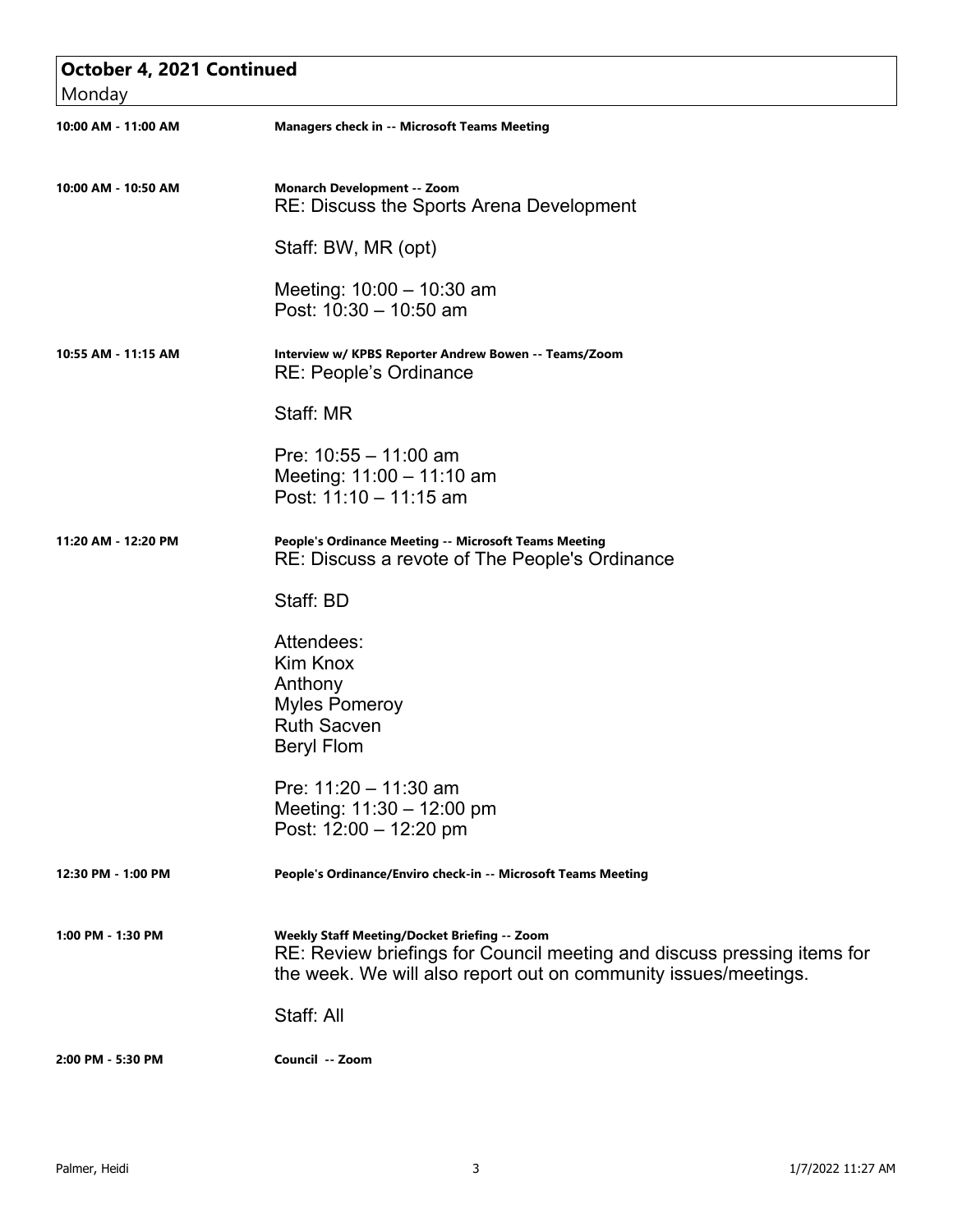| October 4, 2021 Continued |                                                                                                                                                                                            |  |
|---------------------------|--------------------------------------------------------------------------------------------------------------------------------------------------------------------------------------------|--|
| Monday                    |                                                                                                                                                                                            |  |
| 10:00 AM - 11:00 AM       | <b>Managers check in -- Microsoft Teams Meeting</b>                                                                                                                                        |  |
| 10:00 AM - 10:50 AM       | <b>Monarch Development -- Zoom</b><br>RE: Discuss the Sports Arena Development                                                                                                             |  |
|                           | Staff: BW, MR (opt)                                                                                                                                                                        |  |
|                           | Meeting: $10:00 - 10:30$ am<br>Post: 10:30 - 10:50 am                                                                                                                                      |  |
| 10:55 AM - 11:15 AM       | Interview w/ KPBS Reporter Andrew Bowen -- Teams/Zoom<br>RE: People's Ordinance                                                                                                            |  |
|                           | Staff: MR                                                                                                                                                                                  |  |
|                           | Pre: $10:55 - 11:00$ am<br>Meeting: 11:00 - 11:10 am<br>Post: 11:10 - 11:15 am                                                                                                             |  |
| 11:20 AM - 12:20 PM       | People's Ordinance Meeting -- Microsoft Teams Meeting<br>RE: Discuss a revote of The People's Ordinance                                                                                    |  |
|                           | Staff: BD                                                                                                                                                                                  |  |
|                           | Attendees:<br>Kim Knox<br>Anthony<br><b>Myles Pomeroy</b><br><b>Ruth Sacven</b><br><b>Beryl Flom</b>                                                                                       |  |
|                           | Pre: 11:20 - 11:30 am<br>Meeting: $11:30 - 12:00$ pm<br>Post: 12:00 - 12:20 pm                                                                                                             |  |
| 12:30 PM - 1:00 PM        | People's Ordinance/Enviro check-in -- Microsoft Teams Meeting                                                                                                                              |  |
| 1:00 PM - 1:30 PM         | Weekly Staff Meeting/Docket Briefing -- Zoom<br>RE: Review briefings for Council meeting and discuss pressing items for<br>the week. We will also report out on community issues/meetings. |  |
|                           | Staff: All                                                                                                                                                                                 |  |
| 2:00 PM - 5:30 PM         | Council -- Zoom                                                                                                                                                                            |  |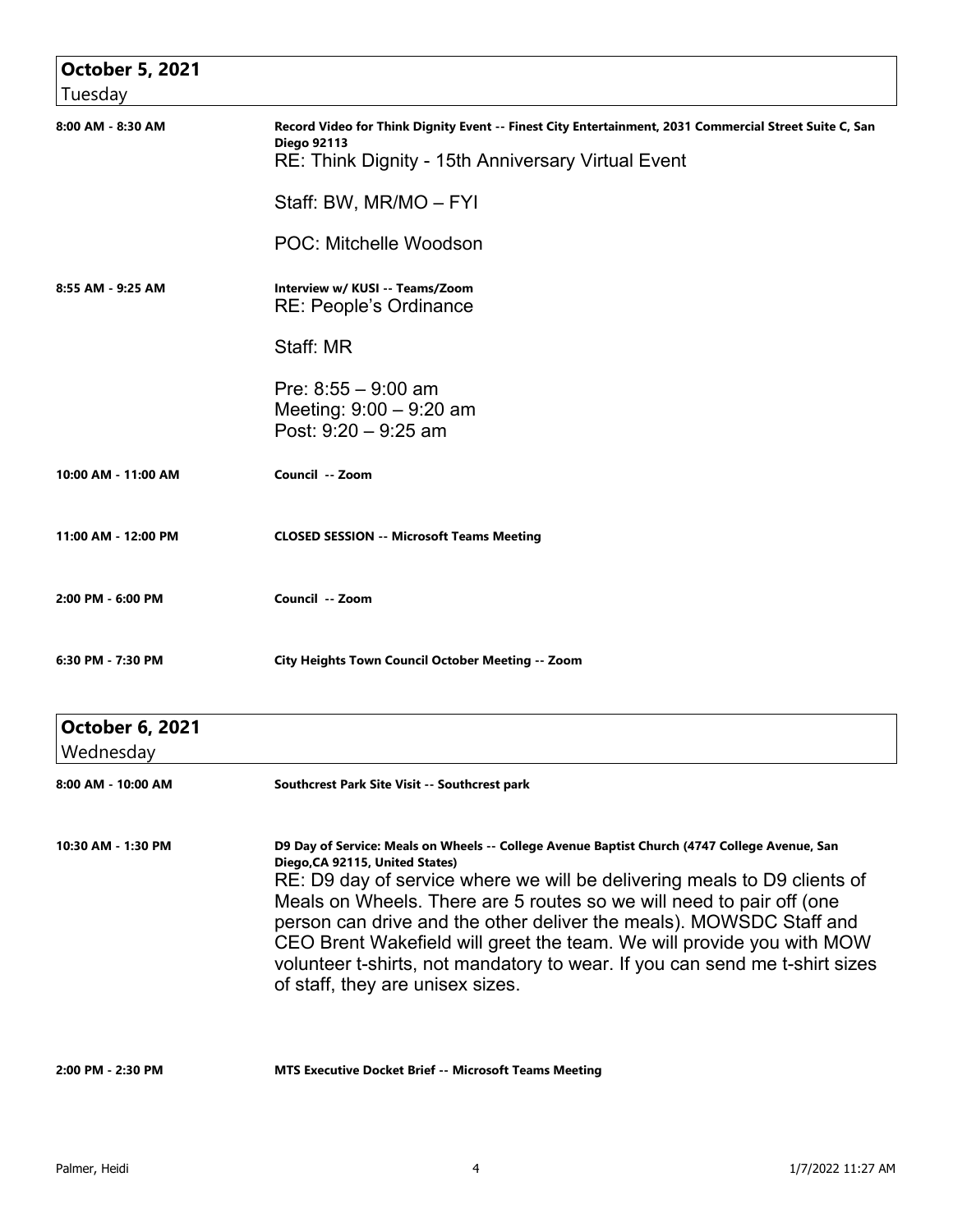| <b>October 5, 2021</b>              |                                                                                                                                                                                                                                                                                                                                                                                                                                                                                                                                                         |
|-------------------------------------|---------------------------------------------------------------------------------------------------------------------------------------------------------------------------------------------------------------------------------------------------------------------------------------------------------------------------------------------------------------------------------------------------------------------------------------------------------------------------------------------------------------------------------------------------------|
| Tuesday                             |                                                                                                                                                                                                                                                                                                                                                                                                                                                                                                                                                         |
| 8:00 AM - 8:30 AM                   | Record Video for Think Dignity Event -- Finest City Entertainment, 2031 Commercial Street Suite C, San<br><b>Diego 92113</b><br>RE: Think Dignity - 15th Anniversary Virtual Event                                                                                                                                                                                                                                                                                                                                                                      |
|                                     | Staff: BW, MR/MO - FYI                                                                                                                                                                                                                                                                                                                                                                                                                                                                                                                                  |
|                                     | <b>POC: Mitchelle Woodson</b>                                                                                                                                                                                                                                                                                                                                                                                                                                                                                                                           |
| 8:55 AM - 9:25 AM                   | Interview w/ KUSI -- Teams/Zoom<br>RE: People's Ordinance                                                                                                                                                                                                                                                                                                                                                                                                                                                                                               |
|                                     | Staff: MR                                                                                                                                                                                                                                                                                                                                                                                                                                                                                                                                               |
|                                     | Pre: $8:55 - 9:00$ am<br>Meeting: $9:00 - 9:20$ am<br>Post: 9:20 - 9:25 am                                                                                                                                                                                                                                                                                                                                                                                                                                                                              |
| 10:00 AM - 11:00 AM                 | Council -- Zoom                                                                                                                                                                                                                                                                                                                                                                                                                                                                                                                                         |
| 11:00 AM - 12:00 PM                 | <b>CLOSED SESSION -- Microsoft Teams Meeting</b>                                                                                                                                                                                                                                                                                                                                                                                                                                                                                                        |
| 2:00 PM - 6:00 PM                   | Council -- Zoom                                                                                                                                                                                                                                                                                                                                                                                                                                                                                                                                         |
| 6:30 PM - 7:30 PM                   | <b>City Heights Town Council October Meeting -- Zoom</b>                                                                                                                                                                                                                                                                                                                                                                                                                                                                                                |
| <b>October 6, 2021</b><br>Wednesday |                                                                                                                                                                                                                                                                                                                                                                                                                                                                                                                                                         |
| 8:00 AM - 10:00 AM                  | Southcrest Park Site Visit -- Southcrest park                                                                                                                                                                                                                                                                                                                                                                                                                                                                                                           |
| 10:30 AM - 1:30 PM                  | D9 Day of Service: Meals on Wheels -- College Avenue Baptist Church (4747 College Avenue, San<br>Diego, CA 92115, United States)<br>RE: D9 day of service where we will be delivering meals to D9 clients of<br>Meals on Wheels. There are 5 routes so we will need to pair off (one<br>person can drive and the other deliver the meals). MOWSDC Staff and<br>CEO Brent Wakefield will greet the team. We will provide you with MOW<br>volunteer t-shirts, not mandatory to wear. If you can send me t-shirt sizes<br>of staff, they are unisex sizes. |
| 2:00 PM - 2:30 PM                   | <b>MTS Executive Docket Brief -- Microsoft Teams Meeting</b>                                                                                                                                                                                                                                                                                                                                                                                                                                                                                            |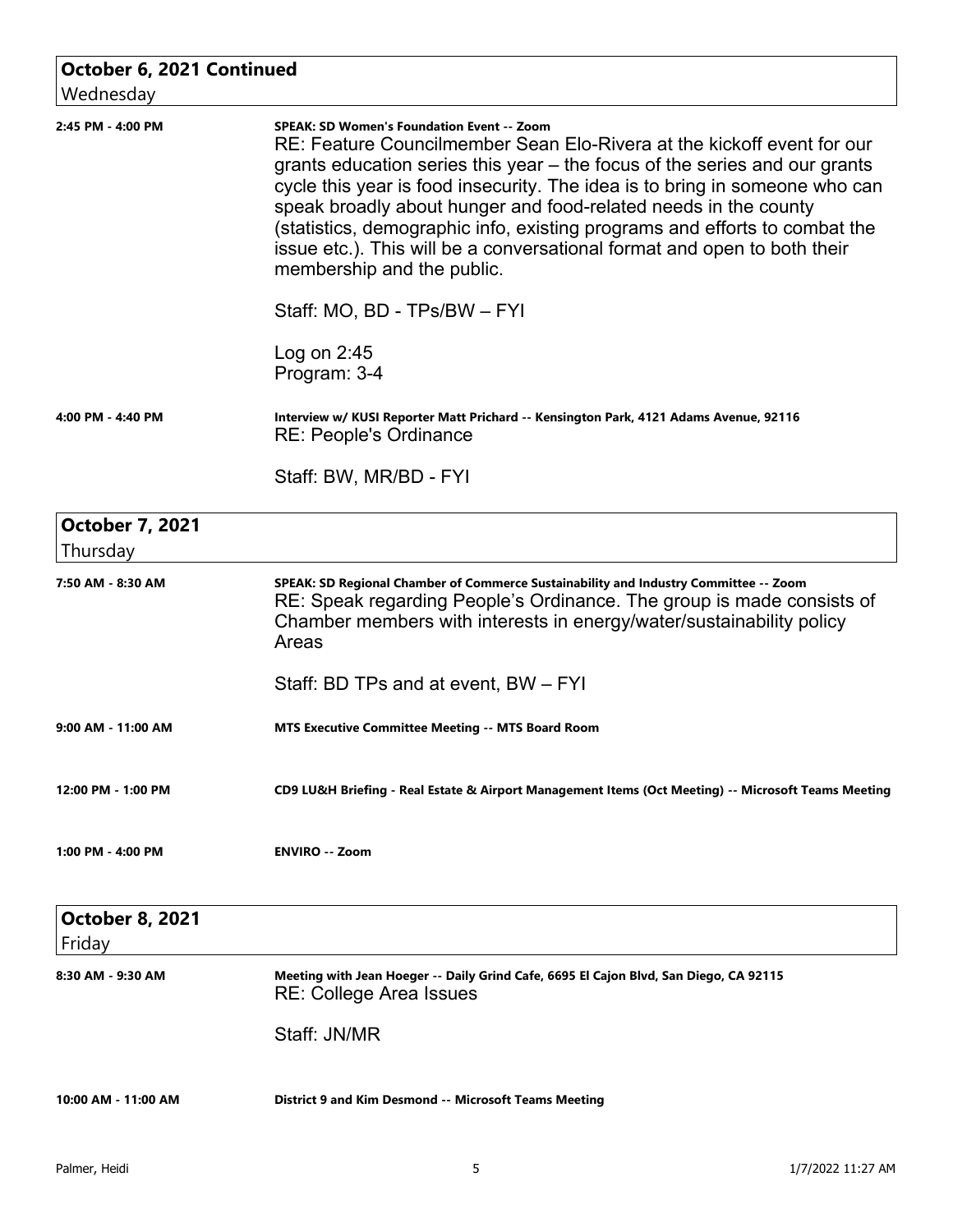| October 6, 2021 Continued<br>Wednesday |                                                                                                                                                                                                                                                                                                                                                                                                                                                                                                                                                     |
|----------------------------------------|-----------------------------------------------------------------------------------------------------------------------------------------------------------------------------------------------------------------------------------------------------------------------------------------------------------------------------------------------------------------------------------------------------------------------------------------------------------------------------------------------------------------------------------------------------|
| 2:45 PM - 4:00 PM                      | <b>SPEAK: SD Women's Foundation Event -- Zoom</b><br>RE: Feature Councilmember Sean Elo-Rivera at the kickoff event for our<br>grants education series this year – the focus of the series and our grants<br>cycle this year is food insecurity. The idea is to bring in someone who can<br>speak broadly about hunger and food-related needs in the county<br>(statistics, demographic info, existing programs and efforts to combat the<br>issue etc.). This will be a conversational format and open to both their<br>membership and the public. |
|                                        | Staff: MO, BD - TPs/BW - FYI                                                                                                                                                                                                                                                                                                                                                                                                                                                                                                                        |
|                                        | Log on $2:45$<br>Program: 3-4                                                                                                                                                                                                                                                                                                                                                                                                                                                                                                                       |
| 4:00 PM - 4:40 PM                      | Interview w/ KUSI Reporter Matt Prichard -- Kensington Park, 4121 Adams Avenue, 92116<br>RE: People's Ordinance                                                                                                                                                                                                                                                                                                                                                                                                                                     |
|                                        | Staff: BW, MR/BD - FYI                                                                                                                                                                                                                                                                                                                                                                                                                                                                                                                              |
| <b>October 7, 2021</b><br>Thursday     |                                                                                                                                                                                                                                                                                                                                                                                                                                                                                                                                                     |
| 7:50 AM - 8:30 AM                      | SPEAK: SD Regional Chamber of Commerce Sustainability and Industry Committee -- Zoom<br>RE: Speak regarding People's Ordinance. The group is made consists of<br>Chamber members with interests in energy/water/sustainability policy<br>Areas                                                                                                                                                                                                                                                                                                      |
|                                        | Staff: BD TPs and at event, BW – FYI                                                                                                                                                                                                                                                                                                                                                                                                                                                                                                                |
| 9:00 AM - 11:00 AM                     | <b>MTS Executive Committee Meeting -- MTS Board Room</b>                                                                                                                                                                                                                                                                                                                                                                                                                                                                                            |
| 12:00 PM - 1:00 PM                     | CD9 LU&H Briefing - Real Estate & Airport Management Items (Oct Meeting) -- Microsoft Teams Meeting                                                                                                                                                                                                                                                                                                                                                                                                                                                 |
| 1:00 PM - 4:00 PM                      | <b>ENVIRO -- Zoom</b>                                                                                                                                                                                                                                                                                                                                                                                                                                                                                                                               |
| <b>October 8, 2021</b><br>Friday       |                                                                                                                                                                                                                                                                                                                                                                                                                                                                                                                                                     |
| 8:30 AM - 9:30 AM                      | Meeting with Jean Hoeger -- Daily Grind Cafe, 6695 El Cajon Blvd, San Diego, CA 92115<br><b>RE: College Area Issues</b>                                                                                                                                                                                                                                                                                                                                                                                                                             |
|                                        | Staff: JN/MR                                                                                                                                                                                                                                                                                                                                                                                                                                                                                                                                        |
| 10:00 AM - 11:00 AM                    | District 9 and Kim Desmond -- Microsoft Teams Meeting                                                                                                                                                                                                                                                                                                                                                                                                                                                                                               |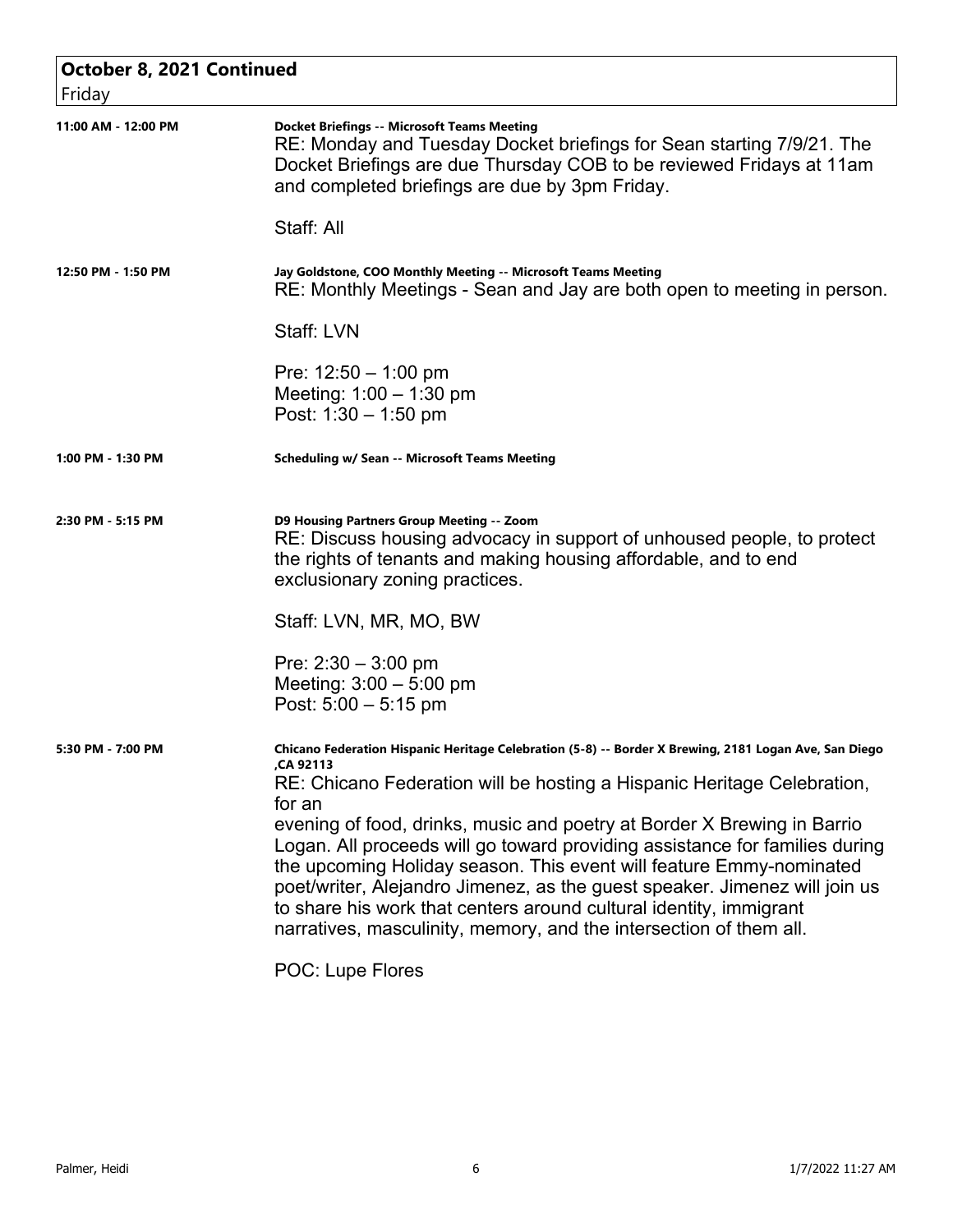| October 8, 2021 Continued<br>Friday |                                                                                                                                                                                                                                                                                                                                                                                                                                                                                                                                                                                                                                                                   |
|-------------------------------------|-------------------------------------------------------------------------------------------------------------------------------------------------------------------------------------------------------------------------------------------------------------------------------------------------------------------------------------------------------------------------------------------------------------------------------------------------------------------------------------------------------------------------------------------------------------------------------------------------------------------------------------------------------------------|
| 11:00 AM - 12:00 PM                 | <b>Docket Briefings -- Microsoft Teams Meeting</b><br>RE: Monday and Tuesday Docket briefings for Sean starting 7/9/21. The<br>Docket Briefings are due Thursday COB to be reviewed Fridays at 11am<br>and completed briefings are due by 3pm Friday.<br>Staff: All                                                                                                                                                                                                                                                                                                                                                                                               |
|                                     |                                                                                                                                                                                                                                                                                                                                                                                                                                                                                                                                                                                                                                                                   |
| 12:50 PM - 1:50 PM                  | Jay Goldstone, COO Monthly Meeting -- Microsoft Teams Meeting<br>RE: Monthly Meetings - Sean and Jay are both open to meeting in person.                                                                                                                                                                                                                                                                                                                                                                                                                                                                                                                          |
|                                     | Staff: LVN                                                                                                                                                                                                                                                                                                                                                                                                                                                                                                                                                                                                                                                        |
|                                     | Pre: $12:50 - 1:00$ pm<br>Meeting: $1:00 - 1:30$ pm<br>Post: $1:30 - 1:50$ pm                                                                                                                                                                                                                                                                                                                                                                                                                                                                                                                                                                                     |
| 1:00 PM - 1:30 PM                   | <b>Scheduling w/ Sean -- Microsoft Teams Meeting</b>                                                                                                                                                                                                                                                                                                                                                                                                                                                                                                                                                                                                              |
| 2:30 PM - 5:15 PM                   | D9 Housing Partners Group Meeting -- Zoom<br>RE: Discuss housing advocacy in support of unhoused people, to protect<br>the rights of tenants and making housing affordable, and to end<br>exclusionary zoning practices.                                                                                                                                                                                                                                                                                                                                                                                                                                          |
|                                     | Staff: LVN, MR, MO, BW                                                                                                                                                                                                                                                                                                                                                                                                                                                                                                                                                                                                                                            |
|                                     | Pre: $2:30 - 3:00$ pm<br>Meeting: $3:00 - 5:00$ pm<br>Post: $5:00 - 5:15$ pm                                                                                                                                                                                                                                                                                                                                                                                                                                                                                                                                                                                      |
| 5:30 PM - 7:00 PM                   | Chicano Federation Hispanic Heritage Celebration (5-8) -- Border X Brewing, 2181 Logan Ave, San Diego<br>CA 92113<br>RE: Chicano Federation will be hosting a Hispanic Heritage Celebration,<br>for an<br>evening of food, drinks, music and poetry at Border X Brewing in Barrio<br>Logan. All proceeds will go toward providing assistance for families during<br>the upcoming Holiday season. This event will feature Emmy-nominated<br>poet/writer, Alejandro Jimenez, as the guest speaker. Jimenez will join us<br>to share his work that centers around cultural identity, immigrant<br>narratives, masculinity, memory, and the intersection of them all. |
|                                     | POC: Lupe Flores                                                                                                                                                                                                                                                                                                                                                                                                                                                                                                                                                                                                                                                  |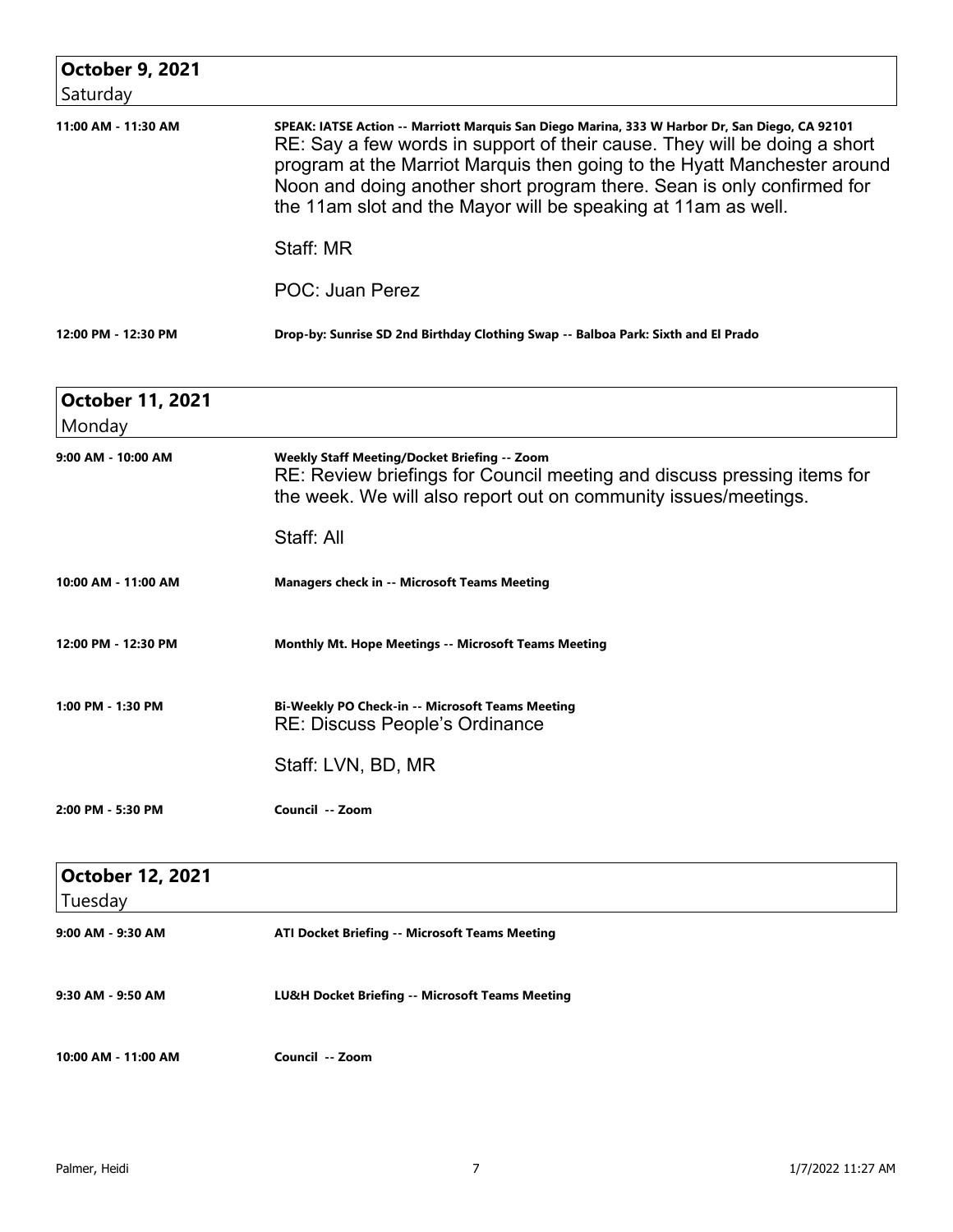| <b>October 9, 2021</b><br>Saturday |                                                                                                                                                                                                                                                                                                                                                                                                    |
|------------------------------------|----------------------------------------------------------------------------------------------------------------------------------------------------------------------------------------------------------------------------------------------------------------------------------------------------------------------------------------------------------------------------------------------------|
| 11:00 AM - 11:30 AM                | SPEAK: IATSE Action -- Marriott Marquis San Diego Marina, 333 W Harbor Dr, San Diego, CA 92101<br>RE: Say a few words in support of their cause. They will be doing a short<br>program at the Marriot Marquis then going to the Hyatt Manchester around<br>Noon and doing another short program there. Sean is only confirmed for<br>the 11am slot and the Mayor will be speaking at 11am as well. |
|                                    | Staff: MR                                                                                                                                                                                                                                                                                                                                                                                          |
|                                    | POC: Juan Perez                                                                                                                                                                                                                                                                                                                                                                                    |
| 12:00 PM - 12:30 PM                | Drop-by: Sunrise SD 2nd Birthday Clothing Swap -- Balboa Park: Sixth and El Prado                                                                                                                                                                                                                                                                                                                  |

| <b>October 11, 2021</b> |                                                                                                                                                                                            |
|-------------------------|--------------------------------------------------------------------------------------------------------------------------------------------------------------------------------------------|
| Monday                  |                                                                                                                                                                                            |
| 9:00 AM - 10:00 AM      | Weekly Staff Meeting/Docket Briefing -- Zoom<br>RE: Review briefings for Council meeting and discuss pressing items for<br>the week. We will also report out on community issues/meetings. |
|                         | Staff: All                                                                                                                                                                                 |
| 10:00 AM - 11:00 AM     | <b>Managers check in -- Microsoft Teams Meeting</b>                                                                                                                                        |
| 12:00 PM - 12:30 PM     | <b>Monthly Mt. Hope Meetings -- Microsoft Teams Meeting</b>                                                                                                                                |
| 1:00 PM - 1:30 PM       | Bi-Weekly PO Check-in -- Microsoft Teams Meeting<br><b>RE: Discuss People's Ordinance</b>                                                                                                  |
|                         | Staff: LVN, BD, MR                                                                                                                                                                         |
| 2:00 PM - 5:30 PM       | Council -- Zoom                                                                                                                                                                            |
| <b>October 12, 2021</b> |                                                                                                                                                                                            |
| Tuesday                 |                                                                                                                                                                                            |
| 9:00 AM - 9:30 AM       | ATI Docket Briefing -- Microsoft Teams Meeting                                                                                                                                             |
| 9:30 AM - 9:50 AM       | LU&H Docket Briefing -- Microsoft Teams Meeting                                                                                                                                            |
| 10:00 AM - 11:00 AM     | Council -- Zoom                                                                                                                                                                            |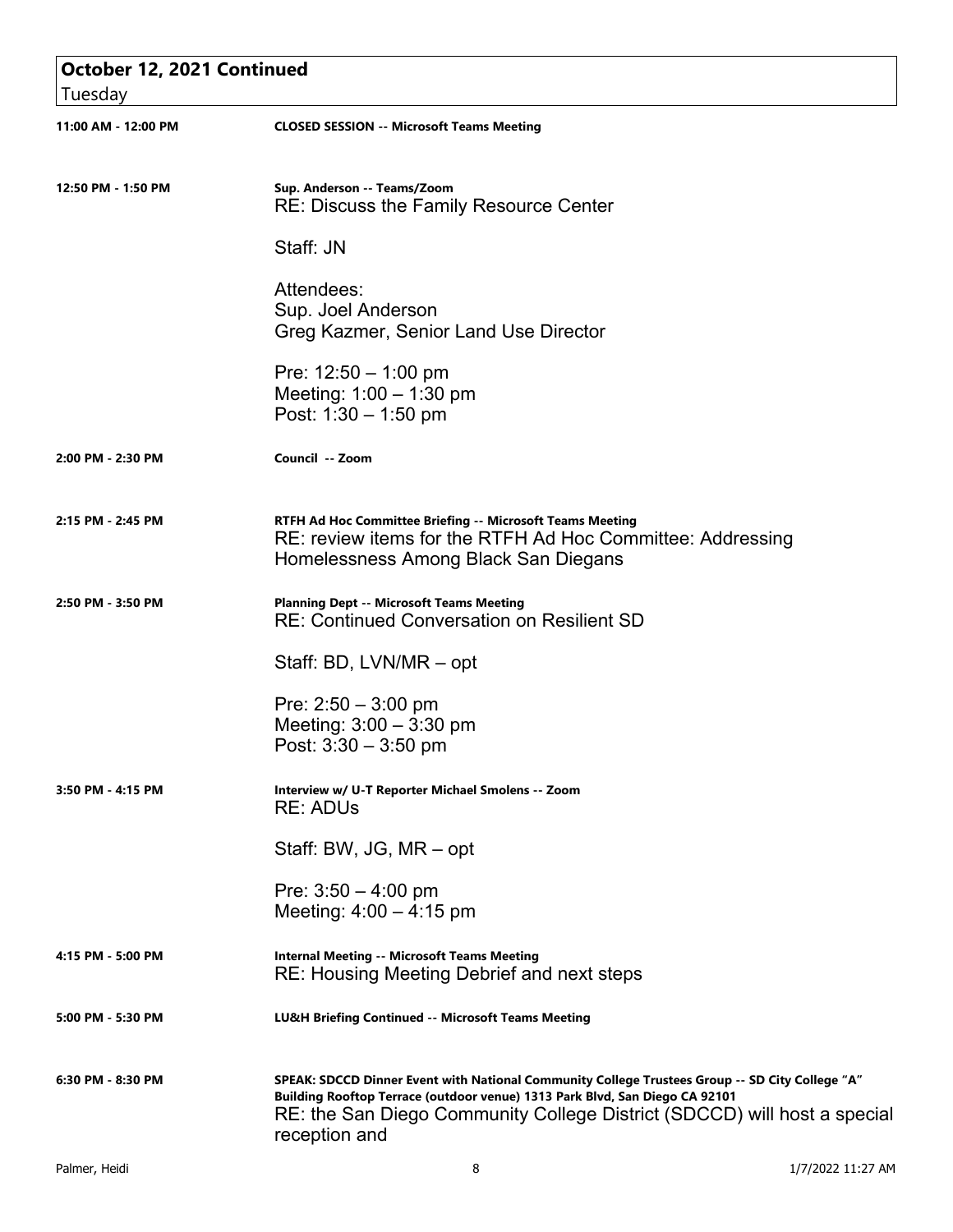| October 12, 2021 Continued<br>Tuesday |                                                                                                                                                                                                                                                                             |
|---------------------------------------|-----------------------------------------------------------------------------------------------------------------------------------------------------------------------------------------------------------------------------------------------------------------------------|
| 11:00 AM - 12:00 PM                   | <b>CLOSED SESSION -- Microsoft Teams Meeting</b>                                                                                                                                                                                                                            |
| 12:50 PM - 1:50 PM                    | Sup. Anderson -- Teams/Zoom<br><b>RE: Discuss the Family Resource Center</b>                                                                                                                                                                                                |
|                                       | Staff: JN                                                                                                                                                                                                                                                                   |
|                                       | Attendees:<br>Sup. Joel Anderson<br>Greg Kazmer, Senior Land Use Director                                                                                                                                                                                                   |
|                                       | Pre: $12:50 - 1:00$ pm<br>Meeting: $1:00 - 1:30$ pm<br>Post: $1:30 - 1:50$ pm                                                                                                                                                                                               |
| 2:00 PM - 2:30 PM                     | Council -- Zoom                                                                                                                                                                                                                                                             |
| 2:15 PM - 2:45 PM                     | RTFH Ad Hoc Committee Briefing -- Microsoft Teams Meeting<br>RE: review items for the RTFH Ad Hoc Committee: Addressing<br>Homelessness Among Black San Diegans                                                                                                             |
| 2:50 PM - 3:50 PM                     | <b>Planning Dept -- Microsoft Teams Meeting</b><br><b>RE: Continued Conversation on Resilient SD</b>                                                                                                                                                                        |
|                                       | Staff: BD, LVN/MR - opt                                                                                                                                                                                                                                                     |
|                                       | Pre: $2:50 - 3:00$ pm<br>Meeting: $3:00 - 3:30$ pm<br>Post: 3:30 - 3:50 pm                                                                                                                                                                                                  |
| 3:50 PM - 4:15 PM                     | Interview w/ U-T Reporter Michael Smolens -- Zoom<br><b>RE: ADUS</b>                                                                                                                                                                                                        |
|                                       | Staff: BW, JG, MR - opt                                                                                                                                                                                                                                                     |
|                                       | Pre: $3:50 - 4:00$ pm<br>Meeting: $4:00 - 4:15$ pm                                                                                                                                                                                                                          |
| 4:15 PM - 5:00 PM                     | <b>Internal Meeting -- Microsoft Teams Meeting</b><br>RE: Housing Meeting Debrief and next steps                                                                                                                                                                            |
| 5:00 PM - 5:30 PM                     | LU&H Briefing Continued -- Microsoft Teams Meeting                                                                                                                                                                                                                          |
| 6:30 PM - 8:30 PM                     | SPEAK: SDCCD Dinner Event with National Community College Trustees Group -- SD City College "A"<br>Building Rooftop Terrace (outdoor venue) 1313 Park Blvd, San Diego CA 92101<br>RE: the San Diego Community College District (SDCCD) will host a special<br>reception and |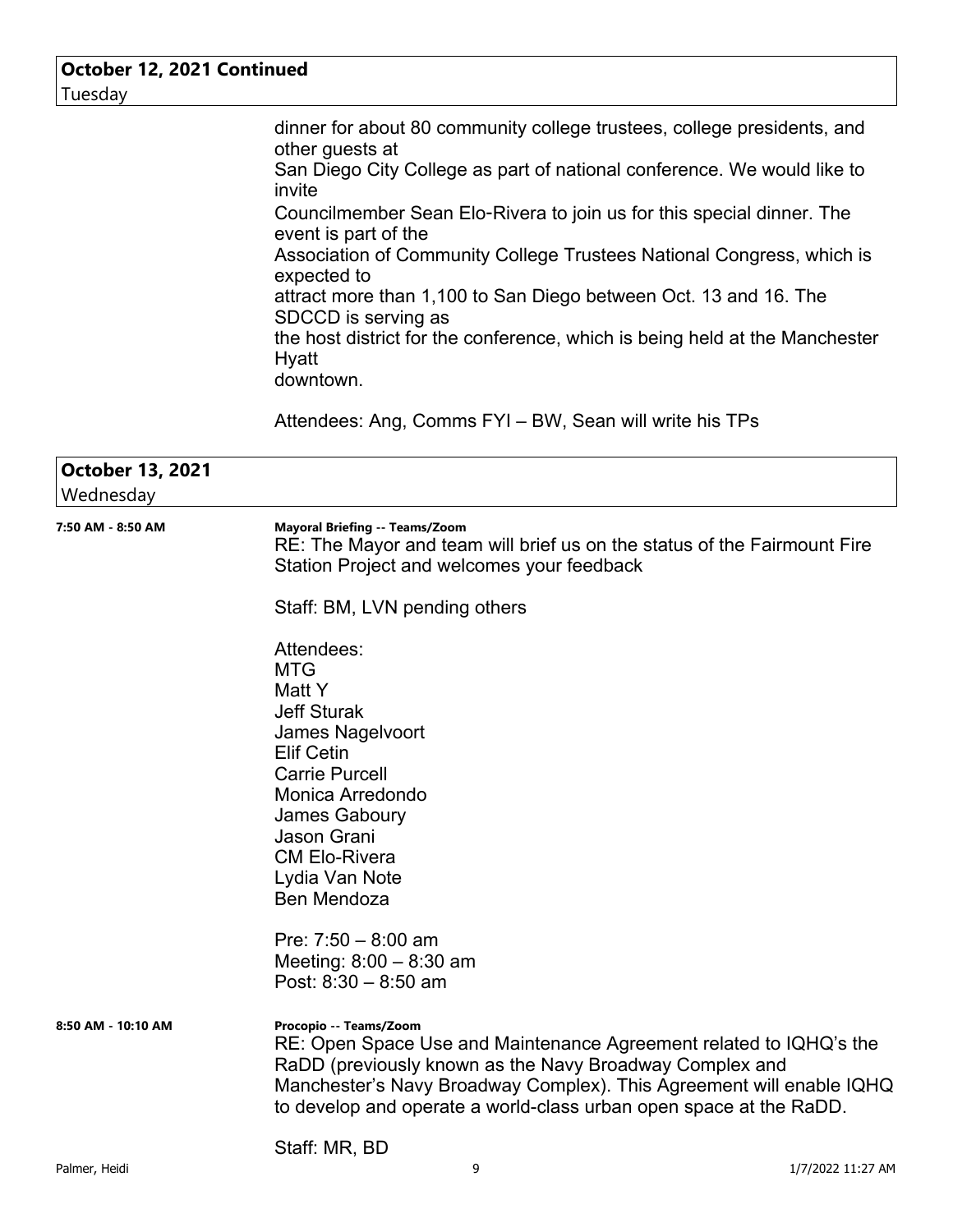| October 12, 2021 Continued           |                                                                                                                                                                                                                                                                                                                                                           |
|--------------------------------------|-----------------------------------------------------------------------------------------------------------------------------------------------------------------------------------------------------------------------------------------------------------------------------------------------------------------------------------------------------------|
| Tuesday                              |                                                                                                                                                                                                                                                                                                                                                           |
|                                      | dinner for about 80 community college trustees, college presidents, and<br>other guests at<br>San Diego City College as part of national conference. We would like to<br>invite<br>Councilmember Sean Elo-Rivera to join us for this special dinner. The<br>event is part of the<br>Association of Community College Trustees National Congress, which is |
|                                      | expected to<br>attract more than 1,100 to San Diego between Oct. 13 and 16. The<br>SDCCD is serving as<br>the host district for the conference, which is being held at the Manchester<br>Hyatt<br>downtown.                                                                                                                                               |
|                                      | Attendees: Ang, Comms FYI – BW, Sean will write his TPs                                                                                                                                                                                                                                                                                                   |
| <b>October 13, 2021</b><br>Wednesday |                                                                                                                                                                                                                                                                                                                                                           |
| 7:50 AM - 8:50 AM                    | <b>Mayoral Briefing -- Teams/Zoom</b><br>RE: The Mayor and team will brief us on the status of the Fairmount Fire<br>Station Project and welcomes your feedback                                                                                                                                                                                           |
|                                      | Staff: BM, LVN pending others                                                                                                                                                                                                                                                                                                                             |
|                                      | Attendees:<br><b>MTG</b><br>Matt Y<br><b>Jeff Sturak</b><br>James Nagelvoort<br><b>Elif Cetin</b><br><b>Carrie Purcell</b><br>Monica Arredondo<br>James Gaboury<br>Jason Grani<br><b>CM Elo-Rivera</b><br>Lydia Van Note<br>Ben Mendoza<br>Pre: $7:50 - 8:00$ am<br>Meeting: $8:00 - 8:30$ am<br>Post: $8:30 - 8:50$ am                                   |
| 8:50 AM - 10:10 AM                   | Procopio -- Teams/Zoom<br>RE: Open Space Use and Maintenance Agreement related to IQHQ's the<br>RaDD (previously known as the Navy Broadway Complex and<br>Manchester's Navy Broadway Complex). This Agreement will enable IQHQ<br>to develop and operate a world-class urban open space at the RaDD.<br>Staff: MR, BD                                    |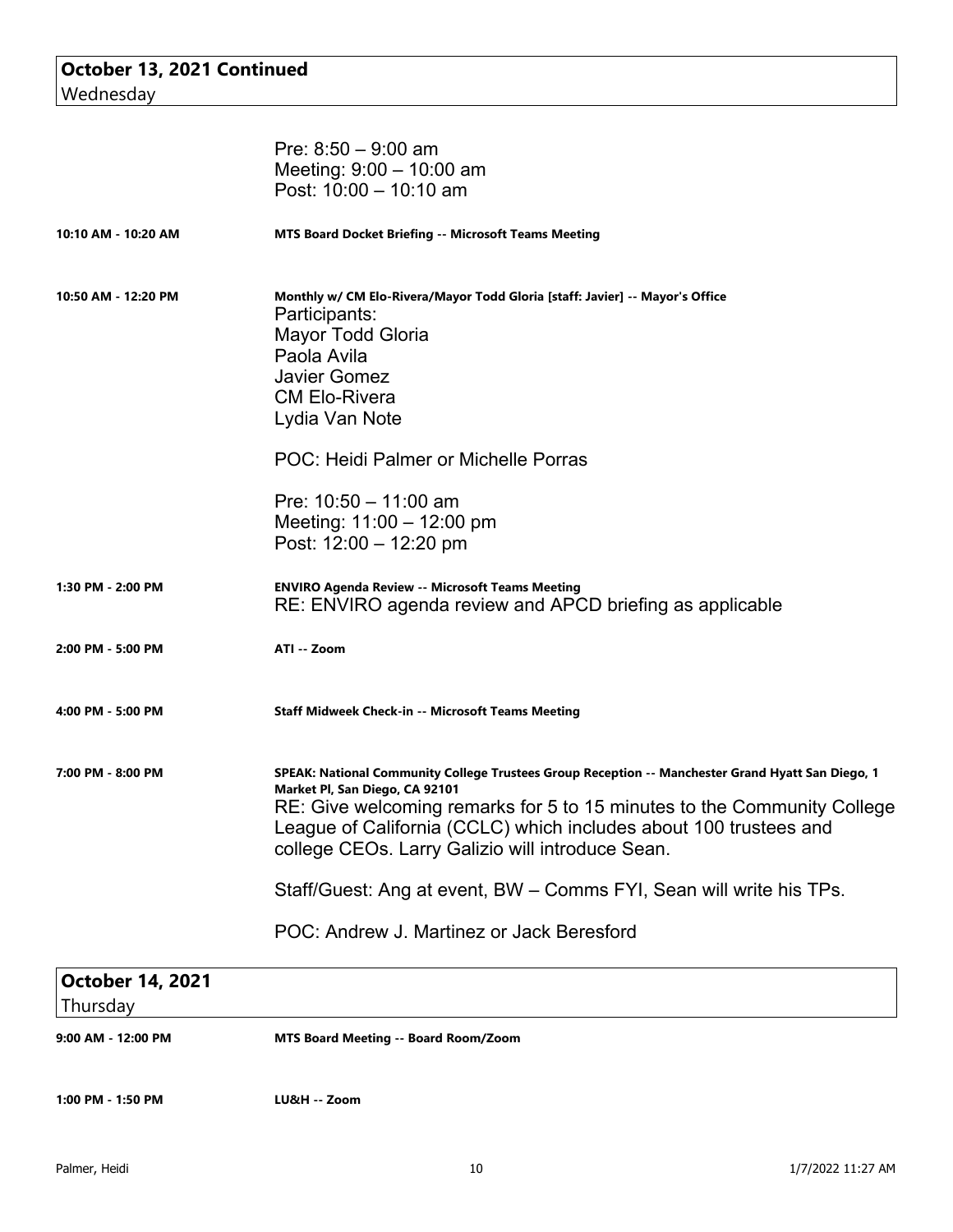|                                     | Pre: $8:50 - 9:00$ am<br>Meeting: $9:00 - 10:00$ am<br>Post: $10:00 - 10:10$ am                                                                                                                                                                                                                                                         |
|-------------------------------------|-----------------------------------------------------------------------------------------------------------------------------------------------------------------------------------------------------------------------------------------------------------------------------------------------------------------------------------------|
| 10:10 AM - 10:20 AM                 | <b>MTS Board Docket Briefing -- Microsoft Teams Meeting</b>                                                                                                                                                                                                                                                                             |
| 10:50 AM - 12:20 PM                 | Monthly w/ CM Elo-Rivera/Mayor Todd Gloria [staff: Javier] -- Mayor's Office<br>Participants:<br><b>Mayor Todd Gloria</b><br>Paola Avila<br><b>Javier Gomez</b><br><b>CM Elo-Rivera</b><br>Lydia Van Note                                                                                                                               |
|                                     | POC: Heidi Palmer or Michelle Porras                                                                                                                                                                                                                                                                                                    |
|                                     | Pre: $10:50 - 11:00$ am<br>Meeting: $11:00 - 12:00$ pm<br>Post: $12:00 - 12:20$ pm                                                                                                                                                                                                                                                      |
| 1:30 PM - 2:00 PM                   | <b>ENVIRO Agenda Review -- Microsoft Teams Meeting</b><br>RE: ENVIRO agenda review and APCD briefing as applicable                                                                                                                                                                                                                      |
| 2:00 PM - 5:00 PM                   | ATI -- Zoom                                                                                                                                                                                                                                                                                                                             |
| 4:00 PM - 5:00 PM                   | <b>Staff Midweek Check-in -- Microsoft Teams Meeting</b>                                                                                                                                                                                                                                                                                |
| 7:00 PM - 8:00 PM                   | SPEAK: National Community College Trustees Group Reception -- Manchester Grand Hyatt San Diego, 1<br>Market Pl, San Diego, CA 92101<br>RE: Give welcoming remarks for 5 to 15 minutes to the Community College<br>League of California (CCLC) which includes about 100 trustees and<br>college CEOs. Larry Galizio will introduce Sean. |
|                                     | Staff/Guest: Ang at event, BW – Comms FYI, Sean will write his TPs.                                                                                                                                                                                                                                                                     |
|                                     | POC: Andrew J. Martinez or Jack Beresford                                                                                                                                                                                                                                                                                               |
| <b>October 14, 2021</b><br>Thursday |                                                                                                                                                                                                                                                                                                                                         |
| 9:00 AM - 12:00 PM                  | <b>MTS Board Meeting -- Board Room/Zoom</b>                                                                                                                                                                                                                                                                                             |
| 1:00 PM - 1:50 PM                   | LU&H -- Zoom                                                                                                                                                                                                                                                                                                                            |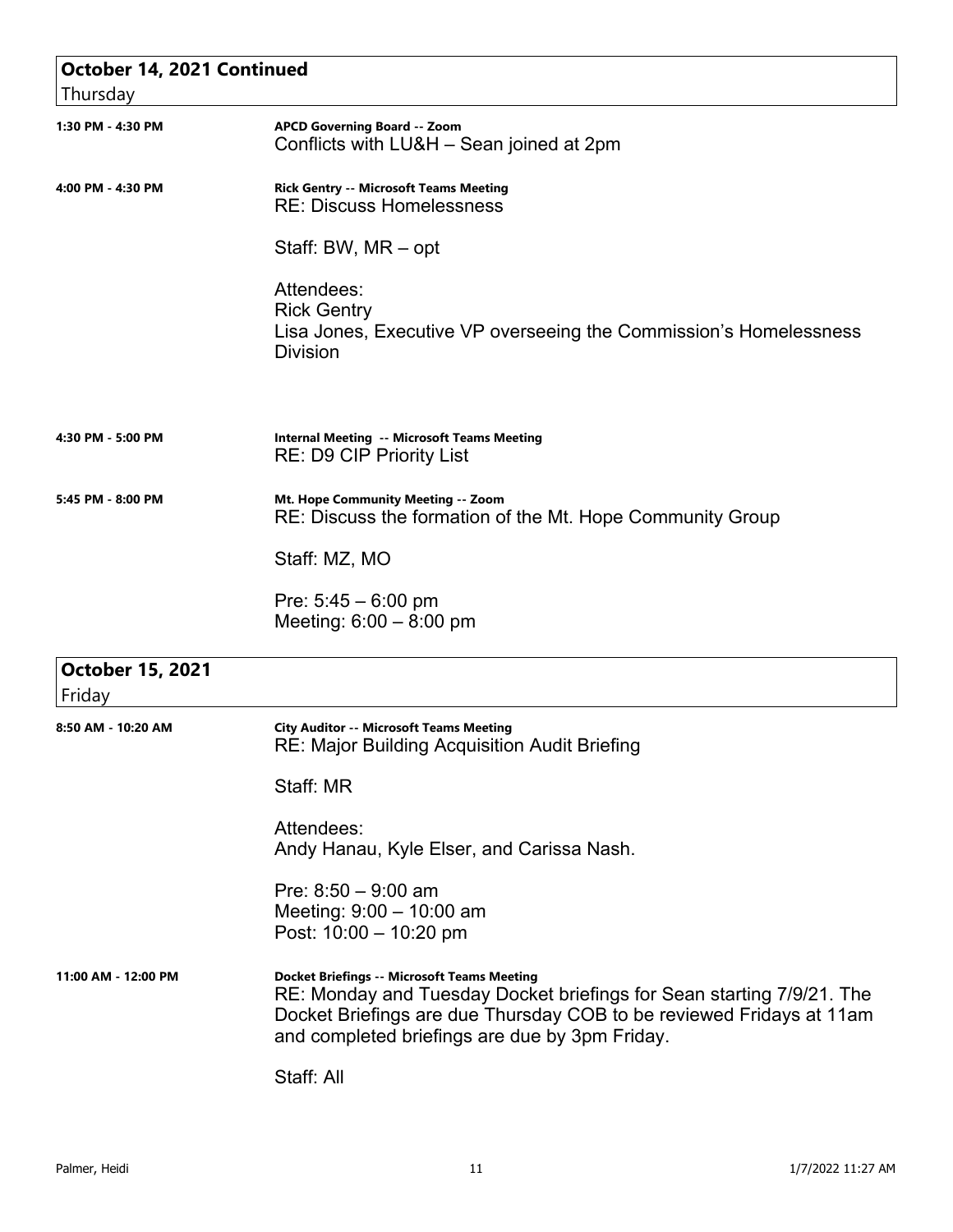| October 14, 2021 Continued        |                                                                                                                                                                                                                                                       |
|-----------------------------------|-------------------------------------------------------------------------------------------------------------------------------------------------------------------------------------------------------------------------------------------------------|
| Thursday                          |                                                                                                                                                                                                                                                       |
| 1:30 PM - 4:30 PM                 | <b>APCD Governing Board -- Zoom</b><br>Conflicts with LU&H - Sean joined at 2pm                                                                                                                                                                       |
| 4:00 PM - 4:30 PM                 | <b>Rick Gentry -- Microsoft Teams Meeting</b><br><b>RE: Discuss Homelessness</b>                                                                                                                                                                      |
|                                   | Staff: BW, MR - opt                                                                                                                                                                                                                                   |
|                                   | Attendees:<br><b>Rick Gentry</b><br>Lisa Jones, Executive VP overseeing the Commission's Homelessness<br><b>Division</b>                                                                                                                              |
| 4:30 PM - 5:00 PM                 | <b>Internal Meeting -- Microsoft Teams Meeting</b><br><b>RE: D9 CIP Priority List</b>                                                                                                                                                                 |
| 5:45 PM - 8:00 PM                 | Mt. Hope Community Meeting -- Zoom<br>RE: Discuss the formation of the Mt. Hope Community Group                                                                                                                                                       |
|                                   | Staff: MZ, MO                                                                                                                                                                                                                                         |
|                                   | Pre: $5:45 - 6:00$ pm<br>Meeting: $6:00 - 8:00$ pm                                                                                                                                                                                                    |
| <b>October 15, 2021</b><br>Friday |                                                                                                                                                                                                                                                       |
| 8:50 AM - 10:20 AM                | <b>City Auditor -- Microsoft Teams Meeting</b><br>RE: Major Building Acquisition Audit Briefing                                                                                                                                                       |
|                                   | Staff: MR                                                                                                                                                                                                                                             |
|                                   | Attendees:<br>Andy Hanau, Kyle Elser, and Carissa Nash.                                                                                                                                                                                               |
|                                   | Pre: $8:50 - 9:00$ am<br>Meeting: $9:00 - 10:00$ am<br>Post: 10:00 - 10:20 pm                                                                                                                                                                         |
| 11:00 AM - 12:00 PM               | <b>Docket Briefings -- Microsoft Teams Meeting</b><br>RE: Monday and Tuesday Docket briefings for Sean starting 7/9/21. The<br>Docket Briefings are due Thursday COB to be reviewed Fridays at 11am<br>and completed briefings are due by 3pm Friday. |
|                                   | Staff: All                                                                                                                                                                                                                                            |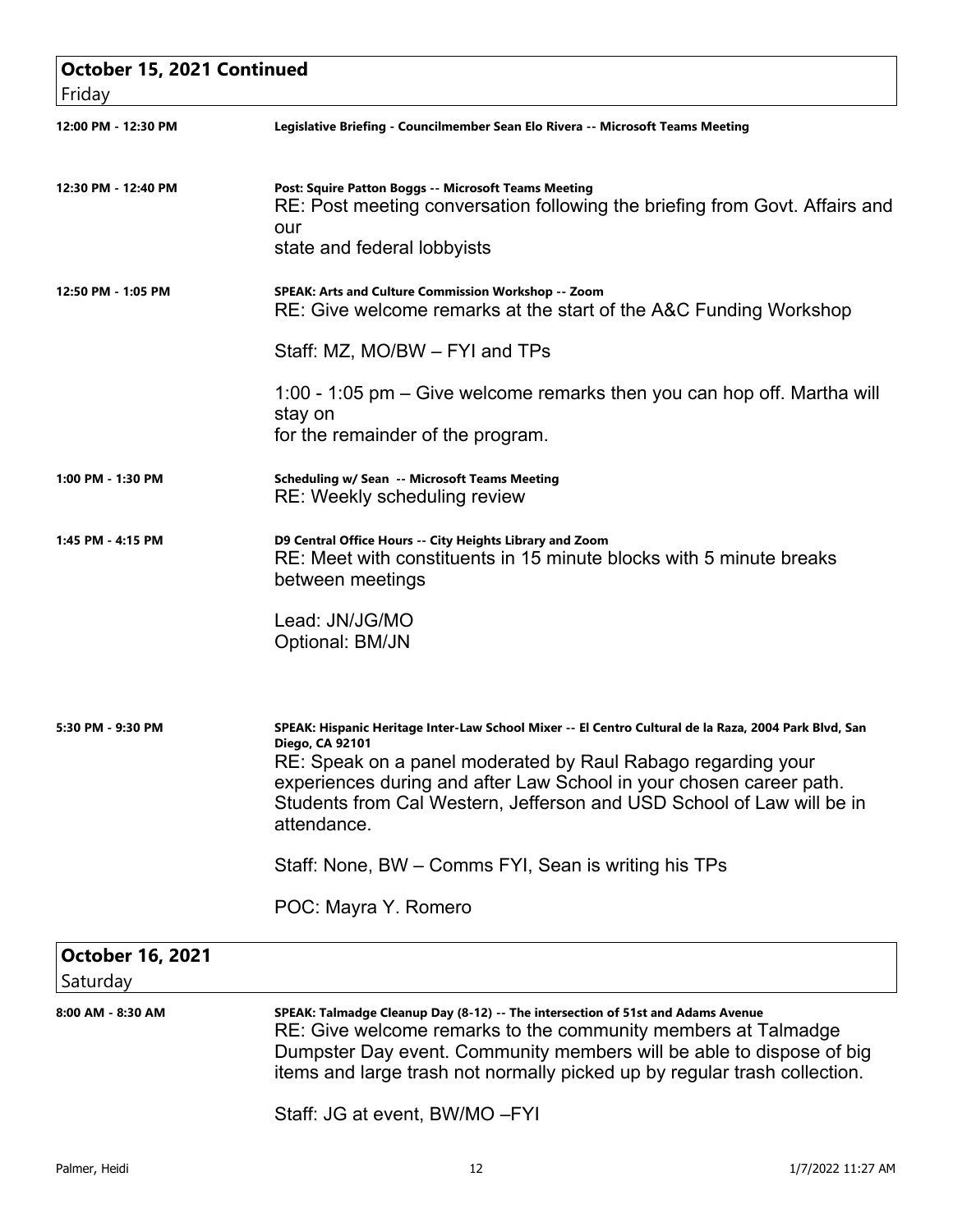| October 15, 2021 Continued<br>Friday |                                                                                                                                                                                                                                                                                                                                                         |
|--------------------------------------|---------------------------------------------------------------------------------------------------------------------------------------------------------------------------------------------------------------------------------------------------------------------------------------------------------------------------------------------------------|
| 12:00 PM - 12:30 PM                  | Legislative Briefing - Councilmember Sean Elo Rivera -- Microsoft Teams Meeting                                                                                                                                                                                                                                                                         |
| 12:30 PM - 12:40 PM                  | Post: Squire Patton Boggs -- Microsoft Teams Meeting<br>RE: Post meeting conversation following the briefing from Govt. Affairs and<br>our<br>state and federal lobbyists                                                                                                                                                                               |
| 12:50 PM - 1:05 PM                   | SPEAK: Arts and Culture Commission Workshop -- Zoom<br>RE: Give welcome remarks at the start of the A&C Funding Workshop                                                                                                                                                                                                                                |
|                                      | Staff: MZ, MO/BW - FYI and TPs                                                                                                                                                                                                                                                                                                                          |
|                                      | 1:00 - 1:05 pm – Give welcome remarks then you can hop off. Martha will<br>stay on<br>for the remainder of the program.                                                                                                                                                                                                                                 |
| 1:00 PM - 1:30 PM                    | Scheduling w/ Sean -- Microsoft Teams Meeting<br>RE: Weekly scheduling review                                                                                                                                                                                                                                                                           |
| 1:45 PM - 4:15 PM                    | D9 Central Office Hours -- City Heights Library and Zoom<br>RE: Meet with constituents in 15 minute blocks with 5 minute breaks<br>between meetings                                                                                                                                                                                                     |
|                                      | Lead: JN/JG/MO<br>Optional: BM/JN                                                                                                                                                                                                                                                                                                                       |
| 5:30 PM - 9:30 PM                    | SPEAK: Hispanic Heritage Inter-Law School Mixer -- El Centro Cultural de la Raza, 2004 Park Blvd, San<br>Diego, CA 92101<br>RE: Speak on a panel moderated by Raul Rabago regarding your<br>experiences during and after Law School in your chosen career path.<br>Students from Cal Western, Jefferson and USD School of Law will be in<br>attendance. |
|                                      | Staff: None, BW – Comms FYI, Sean is writing his TPs                                                                                                                                                                                                                                                                                                    |
|                                      | POC: Mayra Y. Romero                                                                                                                                                                                                                                                                                                                                    |
| <b>October 16, 2021</b><br>Saturday  |                                                                                                                                                                                                                                                                                                                                                         |
| 8:00 AM - 8:30 AM                    | SPEAK: Talmadge Cleanup Day (8-12) -- The intersection of 51st and Adams Avenue<br>RE: Give welcome remarks to the community members at Talmadge<br>Dumpster Day event. Community members will be able to dispose of big<br>items and large trash not normally picked up by regular trash collection.                                                   |
|                                      | Staff: JG at event, BW/MO-FYI                                                                                                                                                                                                                                                                                                                           |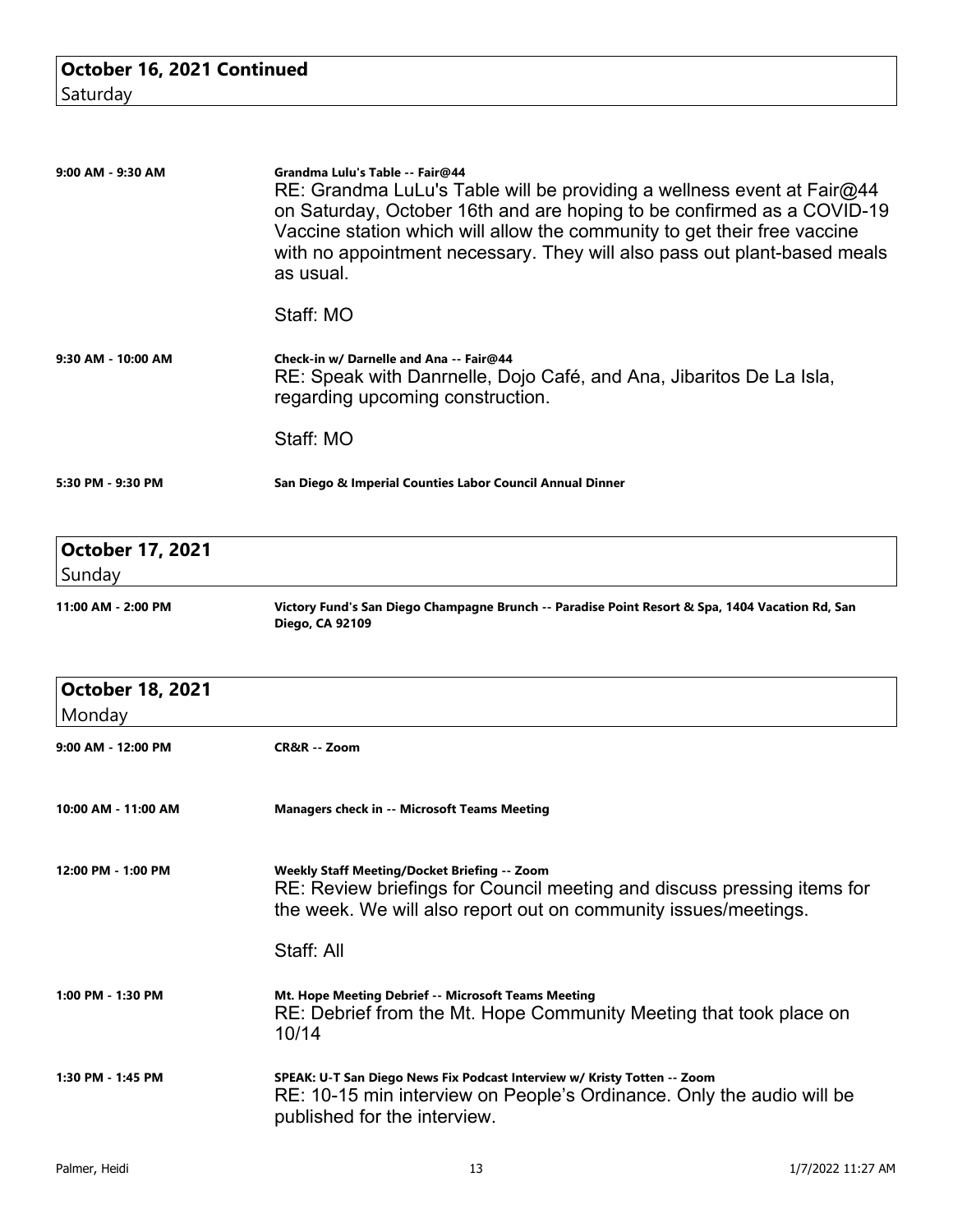| 9:00 AM - 9:30 AM                 | Grandma Lulu's Table -- Fair@44<br>$RE:$ Grandma LuLu's Table will be providing a wellness event at Fair $@44$<br>on Saturday, October 16th and are hoping to be confirmed as a COVID-19<br>Vaccine station which will allow the community to get their free vaccine<br>with no appointment necessary. They will also pass out plant-based meals<br>as usual. |
|-----------------------------------|---------------------------------------------------------------------------------------------------------------------------------------------------------------------------------------------------------------------------------------------------------------------------------------------------------------------------------------------------------------|
|                                   | Staff: MO                                                                                                                                                                                                                                                                                                                                                     |
| $9:30$ AM - 10:00 AM              | Check-in w/ Darnelle and Ana -- Fair@44<br>RE: Speak with Danrnelle, Dojo Café, and Ana, Jibaritos De La Isla,<br>regarding upcoming construction.                                                                                                                                                                                                            |
|                                   | Staff: MO                                                                                                                                                                                                                                                                                                                                                     |
| 5:30 PM - 9:30 PM                 | San Diego & Imperial Counties Labor Council Annual Dinner                                                                                                                                                                                                                                                                                                     |
|                                   |                                                                                                                                                                                                                                                                                                                                                               |
| <b>October 17, 2021</b><br>Sunday |                                                                                                                                                                                                                                                                                                                                                               |
| 11:00 AM - 2:00 PM                | Victory Fund's San Diego Champagne Brunch -- Paradise Point Resort & Spa, 1404 Vacation Rd, San<br>Diego, CA 92109                                                                                                                                                                                                                                            |
|                                   |                                                                                                                                                                                                                                                                                                                                                               |
| <b>October 18, 2021</b>           |                                                                                                                                                                                                                                                                                                                                                               |
| Monday<br>9:00 AM - 12:00 PM      | CR&R -- Zoom                                                                                                                                                                                                                                                                                                                                                  |
| 10:00 AM - 11:00 AM               | <b>Managers check in -- Microsoft Teams Meeting</b>                                                                                                                                                                                                                                                                                                           |
| 12:00 PM - 1:00 PM                | <b>Weekly Staff Meeting/Docket Briefing -- Zoom</b><br>RE: Review briefings for Council meeting and discuss pressing items for<br>the week. We will also report out on community issues/meetings.                                                                                                                                                             |
|                                   | Staff: All                                                                                                                                                                                                                                                                                                                                                    |
| 1:00 PM - 1:30 PM                 | Mt. Hope Meeting Debrief -- Microsoft Teams Meeting<br>RE: Debrief from the Mt. Hope Community Meeting that took place on<br>10/14                                                                                                                                                                                                                            |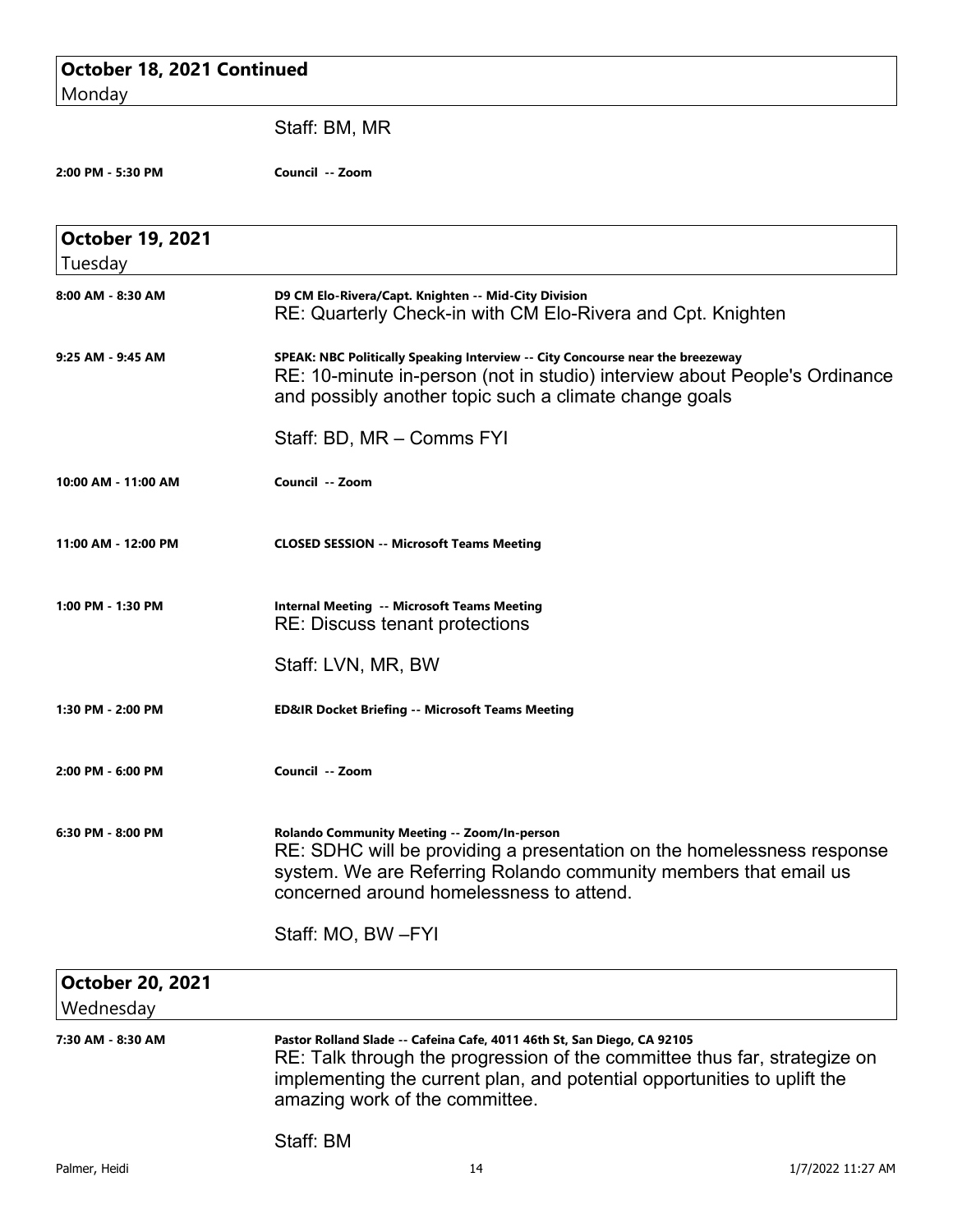| October 18, 2021 Continued           |                                                                                                                                                                                                                                                                    |
|--------------------------------------|--------------------------------------------------------------------------------------------------------------------------------------------------------------------------------------------------------------------------------------------------------------------|
| Monday                               |                                                                                                                                                                                                                                                                    |
|                                      | Staff: BM, MR                                                                                                                                                                                                                                                      |
| 2:00 PM - 5:30 PM                    | Council -- Zoom                                                                                                                                                                                                                                                    |
| <b>October 19, 2021</b><br>Tuesday   |                                                                                                                                                                                                                                                                    |
| 8:00 AM - 8:30 AM                    | D9 CM Elo-Rivera/Capt. Knighten -- Mid-City Division<br>RE: Quarterly Check-in with CM Elo-Rivera and Cpt. Knighten                                                                                                                                                |
| 9:25 AM - 9:45 AM                    | SPEAK: NBC Politically Speaking Interview -- City Concourse near the breezeway<br>RE: 10-minute in-person (not in studio) interview about People's Ordinance<br>and possibly another topic such a climate change goals                                             |
|                                      | Staff: BD, MR - Comms FYI                                                                                                                                                                                                                                          |
| 10:00 AM - 11:00 AM                  | Council -- Zoom                                                                                                                                                                                                                                                    |
| 11:00 AM - 12:00 PM                  | <b>CLOSED SESSION -- Microsoft Teams Meeting</b>                                                                                                                                                                                                                   |
| 1:00 PM - 1:30 PM                    | <b>Internal Meeting -- Microsoft Teams Meeting</b><br><b>RE: Discuss tenant protections</b>                                                                                                                                                                        |
|                                      | Staff: LVN, MR, BW                                                                                                                                                                                                                                                 |
| 1:30 PM - 2:00 PM                    | <b>ED&amp;IR Docket Briefing -- Microsoft Teams Meeting</b>                                                                                                                                                                                                        |
| 2:00 PM - 6:00 PM                    | Council -- Zoom                                                                                                                                                                                                                                                    |
| 6:30 PM - 8:00 PM                    | Rolando Community Meeting -- Zoom/In-person<br>RE: SDHC will be providing a presentation on the homelessness response<br>system. We are Referring Rolando community members that email us<br>concerned around homelessness to attend.                              |
|                                      | Staff: MO, BW-FYI                                                                                                                                                                                                                                                  |
| <b>October 20, 2021</b><br>Wednesday |                                                                                                                                                                                                                                                                    |
| 7:30 AM - 8:30 AM                    | Pastor Rolland Slade -- Cafeina Cafe, 4011 46th St, San Diego, CA 92105<br>RE: Talk through the progression of the committee thus far, strategize on<br>implementing the current plan, and potential opportunities to uplift the<br>amazing work of the committee. |
|                                      | Staff: BM                                                                                                                                                                                                                                                          |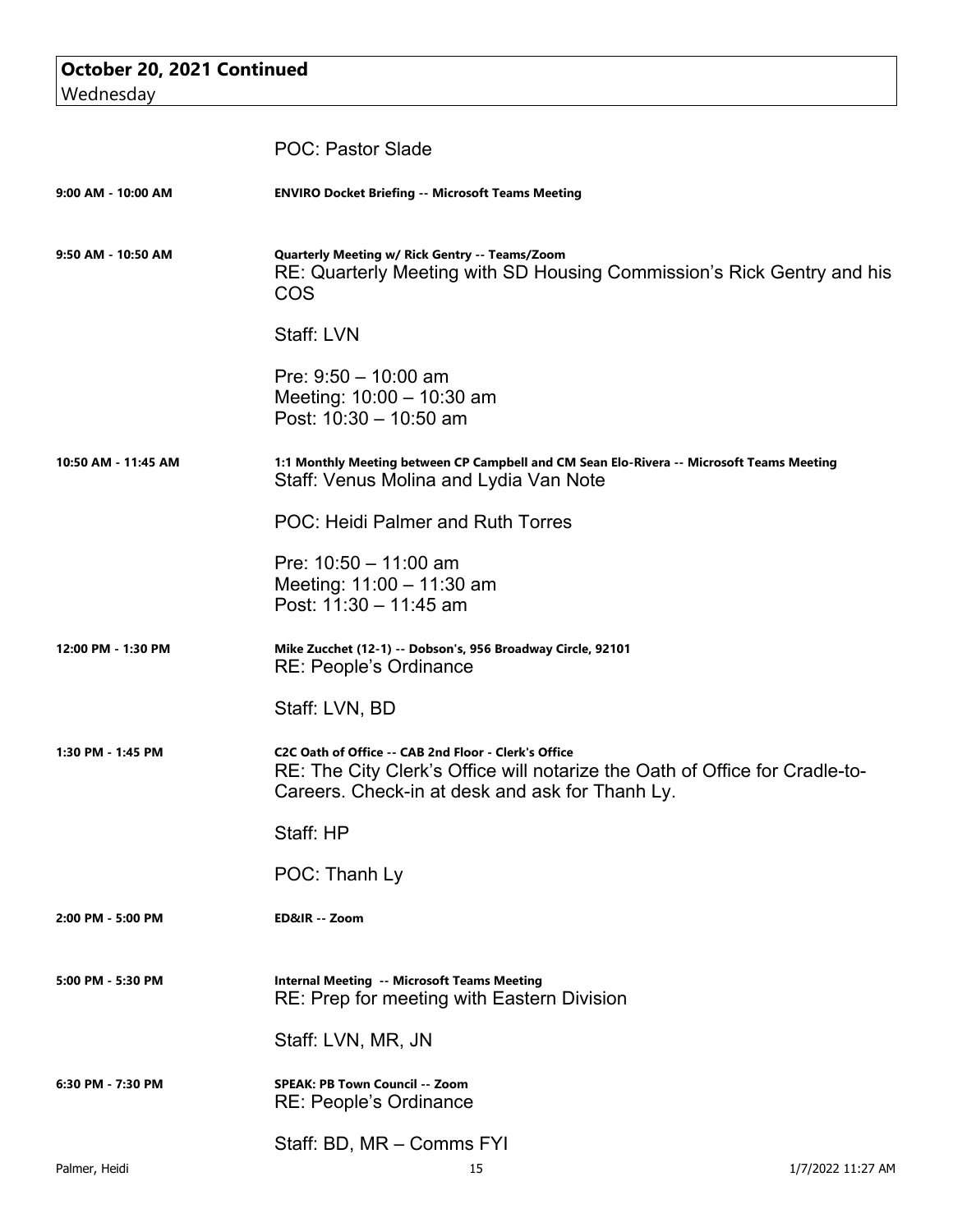| October 20, 2021 Continued |  |
|----------------------------|--|
| Wednesday                  |  |

|                     | <b>POC: Pastor Slade</b>                                                                                                                                                               |                   |
|---------------------|----------------------------------------------------------------------------------------------------------------------------------------------------------------------------------------|-------------------|
| 9:00 AM - 10:00 AM  | <b>ENVIRO Docket Briefing -- Microsoft Teams Meeting</b>                                                                                                                               |                   |
| 9:50 AM - 10:50 AM  | Quarterly Meeting w/ Rick Gentry -- Teams/Zoom<br>RE: Quarterly Meeting with SD Housing Commission's Rick Gentry and his<br>COS                                                        |                   |
|                     | Staff: LVN                                                                                                                                                                             |                   |
|                     | Pre: $9:50 - 10:00$ am<br>Meeting: 10:00 - 10:30 am<br>Post: $10:30 - 10:50$ am                                                                                                        |                   |
| 10:50 AM - 11:45 AM | 1:1 Monthly Meeting between CP Campbell and CM Sean Elo-Rivera -- Microsoft Teams Meeting<br>Staff: Venus Molina and Lydia Van Note                                                    |                   |
|                     | POC: Heidi Palmer and Ruth Torres                                                                                                                                                      |                   |
|                     | Pre: $10:50 - 11:00$ am<br>Meeting: 11:00 - 11:30 am<br>Post: $11:30 - 11:45$ am                                                                                                       |                   |
| 12:00 PM - 1:30 PM  | Mike Zucchet (12-1) -- Dobson's, 956 Broadway Circle, 92101<br>RE: People's Ordinance                                                                                                  |                   |
|                     | Staff: LVN, BD                                                                                                                                                                         |                   |
| 1:30 PM - 1:45 PM   | C2C Oath of Office -- CAB 2nd Floor - Clerk's Office<br>RE: The City Clerk's Office will notarize the Oath of Office for Cradle-to-<br>Careers. Check-in at desk and ask for Thanh Ly. |                   |
|                     | Staff: HP                                                                                                                                                                              |                   |
|                     | POC: Thanh Ly                                                                                                                                                                          |                   |
| 2:00 PM - 5:00 PM   | ED&IR -- Zoom                                                                                                                                                                          |                   |
| 5:00 PM - 5:30 PM   | <b>Internal Meeting -- Microsoft Teams Meeting</b><br>RE: Prep for meeting with Eastern Division                                                                                       |                   |
|                     | Staff: LVN, MR, JN                                                                                                                                                                     |                   |
| 6:30 PM - 7:30 PM   | <b>SPEAK: PB Town Council -- Zoom</b><br><b>RE: People's Ordinance</b>                                                                                                                 |                   |
|                     | Staff: BD, MR - Comms FYI                                                                                                                                                              |                   |
| Palmer, Heidi       | 15                                                                                                                                                                                     | 1/7/2022 11:27 AM |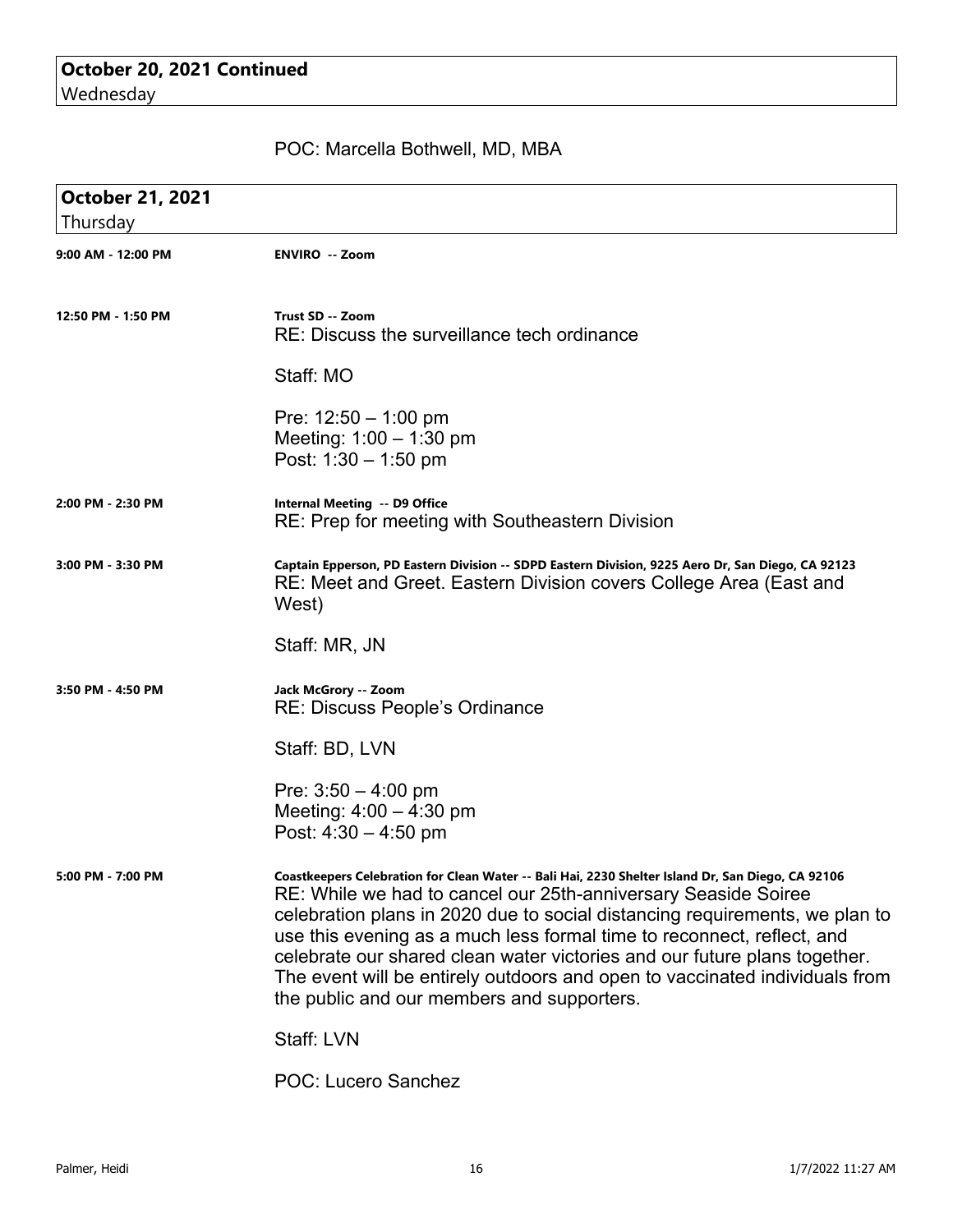## POC: Marcella Bothwell, MD, MBA

| <b>October 21, 2021</b> |                                                                                                                                                                                                                                                                                                                                                                                                                                                                                                                                        |
|-------------------------|----------------------------------------------------------------------------------------------------------------------------------------------------------------------------------------------------------------------------------------------------------------------------------------------------------------------------------------------------------------------------------------------------------------------------------------------------------------------------------------------------------------------------------------|
| Thursday                |                                                                                                                                                                                                                                                                                                                                                                                                                                                                                                                                        |
| 9:00 AM - 12:00 PM      | <b>ENVIRO -- Zoom</b>                                                                                                                                                                                                                                                                                                                                                                                                                                                                                                                  |
| 12:50 PM - 1:50 PM      | Trust SD -- Zoom<br>RE: Discuss the surveillance tech ordinance                                                                                                                                                                                                                                                                                                                                                                                                                                                                        |
|                         | Staff: MO                                                                                                                                                                                                                                                                                                                                                                                                                                                                                                                              |
|                         | Pre: $12:50 - 1:00$ pm<br>Meeting: 1:00 - 1:30 pm<br>Post: $1:30 - 1:50$ pm                                                                                                                                                                                                                                                                                                                                                                                                                                                            |
| 2:00 PM - 2:30 PM       | Internal Meeting -- D9 Office<br>RE: Prep for meeting with Southeastern Division                                                                                                                                                                                                                                                                                                                                                                                                                                                       |
| 3:00 PM - 3:30 PM       | Captain Epperson, PD Eastern Division -- SDPD Eastern Division, 9225 Aero Dr, San Diego, CA 92123<br>RE: Meet and Greet. Eastern Division covers College Area (East and<br>West)                                                                                                                                                                                                                                                                                                                                                       |
|                         | Staff: MR, JN                                                                                                                                                                                                                                                                                                                                                                                                                                                                                                                          |
| 3:50 PM - 4:50 PM       | Jack McGrory -- Zoom<br>RE: Discuss People's Ordinance                                                                                                                                                                                                                                                                                                                                                                                                                                                                                 |
|                         | Staff: BD, LVN                                                                                                                                                                                                                                                                                                                                                                                                                                                                                                                         |
|                         | Pre: $3:50 - 4:00$ pm<br>Meeting: $4:00 - 4:30$ pm<br>Post: $4:30 - 4:50$ pm                                                                                                                                                                                                                                                                                                                                                                                                                                                           |
| 5:00 PM - 7:00 PM       | Coastkeepers Celebration for Clean Water -- Bali Hai, 2230 Shelter Island Dr, San Diego, CA 92106<br>RE: While we had to cancel our 25th-anniversary Seaside Soiree<br>celebration plans in 2020 due to social distancing requirements, we plan to<br>use this evening as a much less formal time to reconnect, reflect, and<br>celebrate our shared clean water victories and our future plans together.<br>The event will be entirely outdoors and open to vaccinated individuals from<br>the public and our members and supporters. |
|                         | Staff: LVN                                                                                                                                                                                                                                                                                                                                                                                                                                                                                                                             |
|                         | POC: Lucero Sanchez                                                                                                                                                                                                                                                                                                                                                                                                                                                                                                                    |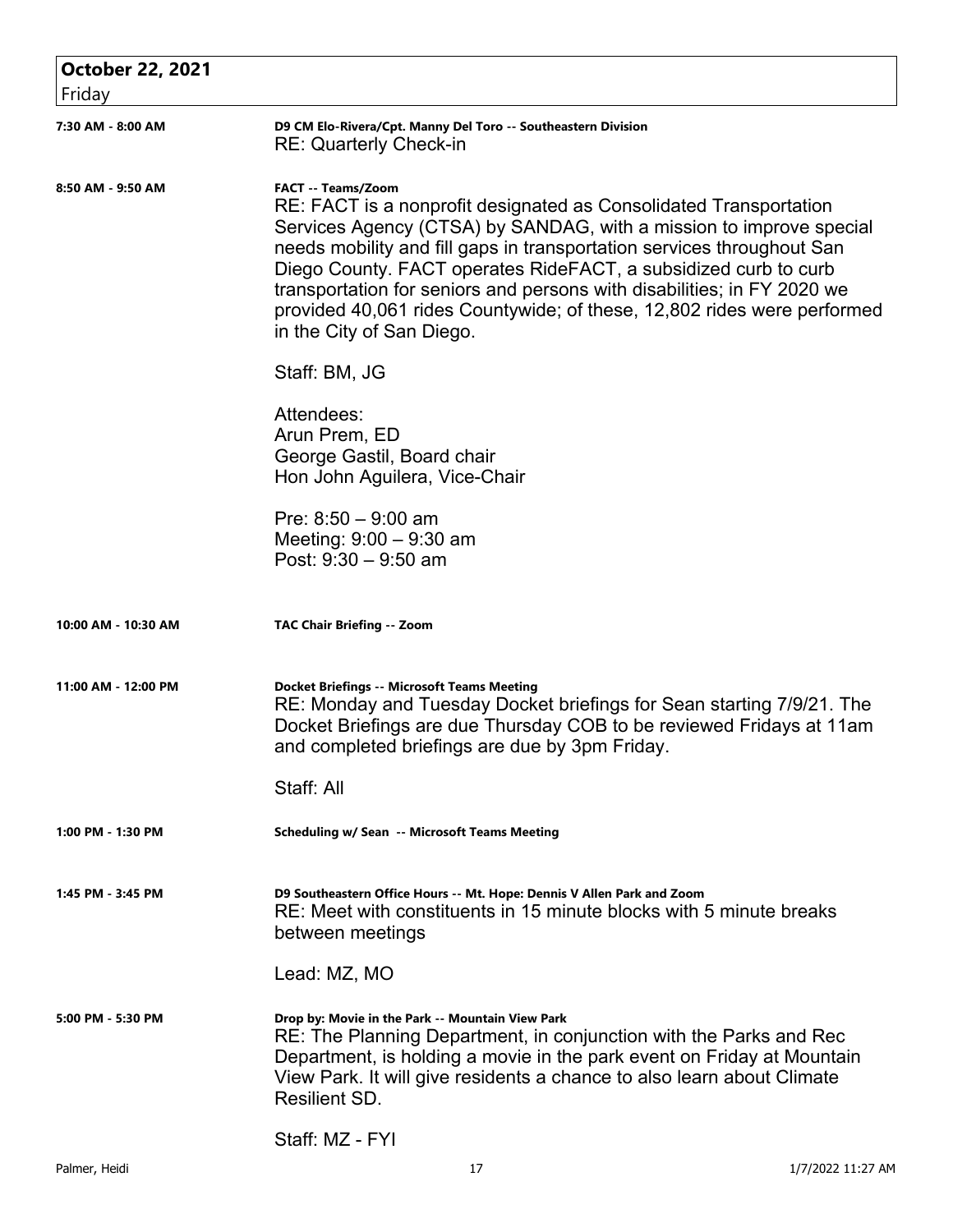| <b>October 22, 2021</b> |                                                                                                                                                                                                                                                                                                                                                                                                                                                                                                       |
|-------------------------|-------------------------------------------------------------------------------------------------------------------------------------------------------------------------------------------------------------------------------------------------------------------------------------------------------------------------------------------------------------------------------------------------------------------------------------------------------------------------------------------------------|
| Friday                  |                                                                                                                                                                                                                                                                                                                                                                                                                                                                                                       |
| 7:30 AM - 8:00 AM       | D9 CM Elo-Rivera/Cpt. Manny Del Toro -- Southeastern Division<br><b>RE: Quarterly Check-in</b>                                                                                                                                                                                                                                                                                                                                                                                                        |
| 8:50 AM - 9:50 AM       | <b>FACT -- Teams/Zoom</b><br>RE: FACT is a nonprofit designated as Consolidated Transportation<br>Services Agency (CTSA) by SANDAG, with a mission to improve special<br>needs mobility and fill gaps in transportation services throughout San<br>Diego County. FACT operates RideFACT, a subsidized curb to curb<br>transportation for seniors and persons with disabilities; in FY 2020 we<br>provided 40,061 rides Countywide; of these, 12,802 rides were performed<br>in the City of San Diego. |
|                         | Staff: BM, JG                                                                                                                                                                                                                                                                                                                                                                                                                                                                                         |
|                         | Attendees:<br>Arun Prem, ED<br>George Gastil, Board chair<br>Hon John Aguilera, Vice-Chair                                                                                                                                                                                                                                                                                                                                                                                                            |
|                         | Pre: $8:50 - 9:00$ am<br>Meeting: $9:00 - 9:30$ am<br>Post: $9:30 - 9:50$ am                                                                                                                                                                                                                                                                                                                                                                                                                          |
| 10:00 AM - 10:30 AM     | <b>TAC Chair Briefing -- Zoom</b>                                                                                                                                                                                                                                                                                                                                                                                                                                                                     |
| 11:00 AM - 12:00 PM     | <b>Docket Briefings -- Microsoft Teams Meeting</b><br>RE: Monday and Tuesday Docket briefings for Sean starting 7/9/21. The<br>Docket Briefings are due Thursday COB to be reviewed Fridays at 11am<br>and completed briefings are due by 3pm Friday.                                                                                                                                                                                                                                                 |
|                         | Staff: All                                                                                                                                                                                                                                                                                                                                                                                                                                                                                            |
| 1:00 PM - 1:30 PM       | Scheduling w/ Sean -- Microsoft Teams Meeting                                                                                                                                                                                                                                                                                                                                                                                                                                                         |
| 1:45 PM - 3:45 PM       | D9 Southeastern Office Hours -- Mt. Hope: Dennis V Allen Park and Zoom<br>RE: Meet with constituents in 15 minute blocks with 5 minute breaks<br>between meetings                                                                                                                                                                                                                                                                                                                                     |
|                         | Lead: MZ, MO                                                                                                                                                                                                                                                                                                                                                                                                                                                                                          |
| 5:00 PM - 5:30 PM       | Drop by: Movie in the Park -- Mountain View Park<br>RE: The Planning Department, in conjunction with the Parks and Rec<br>Department, is holding a movie in the park event on Friday at Mountain<br>View Park. It will give residents a chance to also learn about Climate<br><b>Resilient SD.</b>                                                                                                                                                                                                    |
|                         | Staff: MZ - FYI                                                                                                                                                                                                                                                                                                                                                                                                                                                                                       |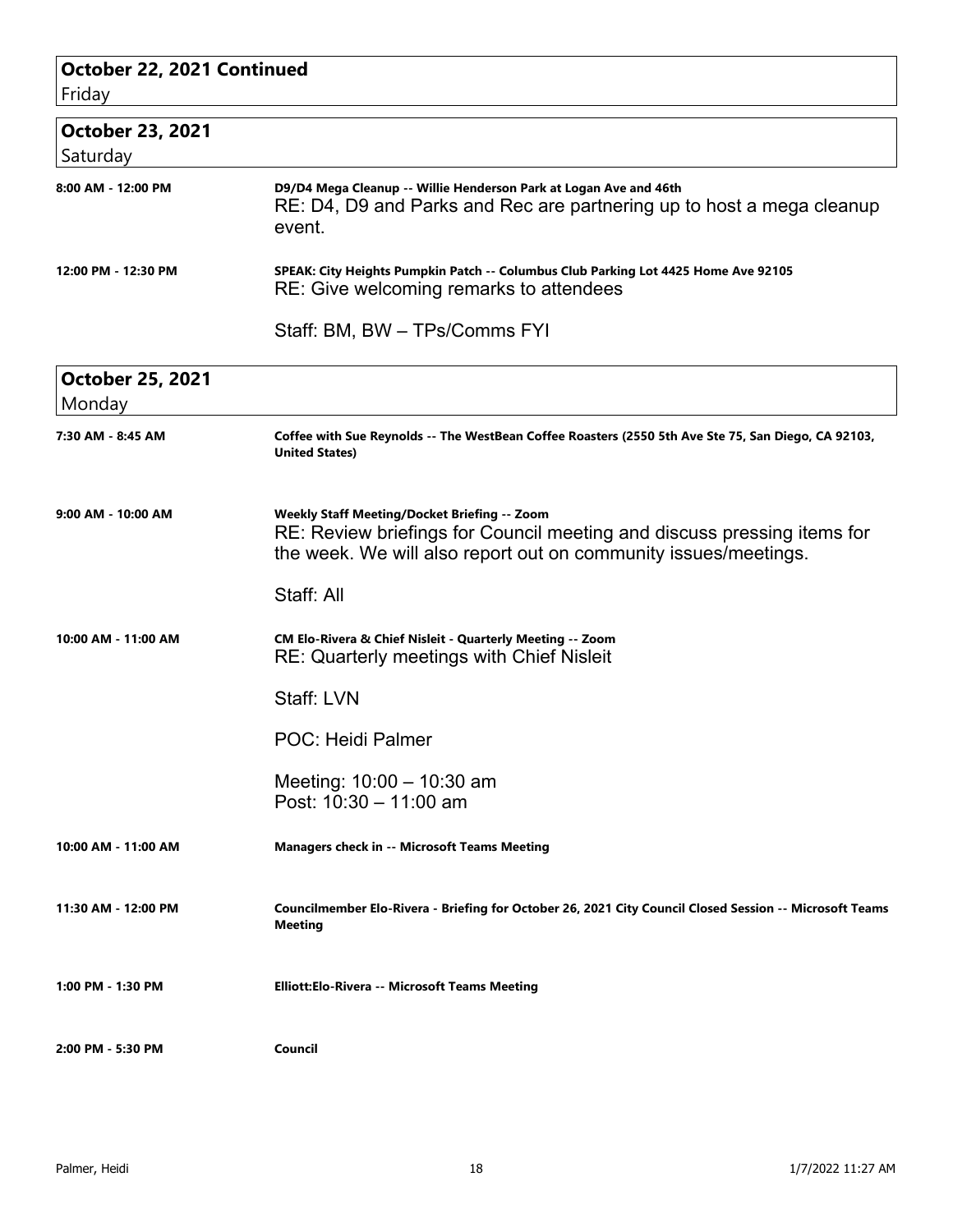| October 22, 2021 Continued<br>Friday |                                                                                                                                                                                                   |  |
|--------------------------------------|---------------------------------------------------------------------------------------------------------------------------------------------------------------------------------------------------|--|
| <b>October 23, 2021</b><br>Saturday  |                                                                                                                                                                                                   |  |
| 8:00 AM - 12:00 PM                   | D9/D4 Mega Cleanup -- Willie Henderson Park at Logan Ave and 46th<br>RE: D4, D9 and Parks and Rec are partnering up to host a mega cleanup<br>event.                                              |  |
| 12:00 PM - 12:30 PM                  | SPEAK: City Heights Pumpkin Patch -- Columbus Club Parking Lot 4425 Home Ave 92105<br>RE: Give welcoming remarks to attendees                                                                     |  |
|                                      | Staff: BM, BW - TPs/Comms FYI                                                                                                                                                                     |  |
| <b>October 25, 2021</b><br>Monday    |                                                                                                                                                                                                   |  |
| 7:30 AM - 8:45 AM                    | Coffee with Sue Reynolds -- The WestBean Coffee Roasters (2550 5th Ave Ste 75, San Diego, CA 92103,<br><b>United States)</b>                                                                      |  |
| 9:00 AM - 10:00 AM                   | <b>Weekly Staff Meeting/Docket Briefing -- Zoom</b><br>RE: Review briefings for Council meeting and discuss pressing items for<br>the week. We will also report out on community issues/meetings. |  |
|                                      | Staff: All                                                                                                                                                                                        |  |
| 10:00 AM - 11:00 AM                  | CM Elo-Rivera & Chief Nisleit - Quarterly Meeting -- Zoom<br><b>RE: Quarterly meetings with Chief Nisleit</b>                                                                                     |  |
|                                      | Staff: LVN                                                                                                                                                                                        |  |
|                                      | <b>POC: Heidi Palmer</b>                                                                                                                                                                          |  |
|                                      | Meeting: 10:00 - 10:30 am<br>Post: 10:30 - 11:00 am                                                                                                                                               |  |
| 10:00 AM - 11:00 AM                  | <b>Managers check in -- Microsoft Teams Meeting</b>                                                                                                                                               |  |
| 11:30 AM - 12:00 PM                  | Councilmember Elo-Rivera - Briefing for October 26, 2021 City Council Closed Session -- Microsoft Teams<br>Meeting                                                                                |  |
| 1:00 PM - 1:30 PM                    | Elliott: Elo-Rivera -- Microsoft Teams Meeting                                                                                                                                                    |  |
| 2:00 PM - 5:30 PM                    | Council                                                                                                                                                                                           |  |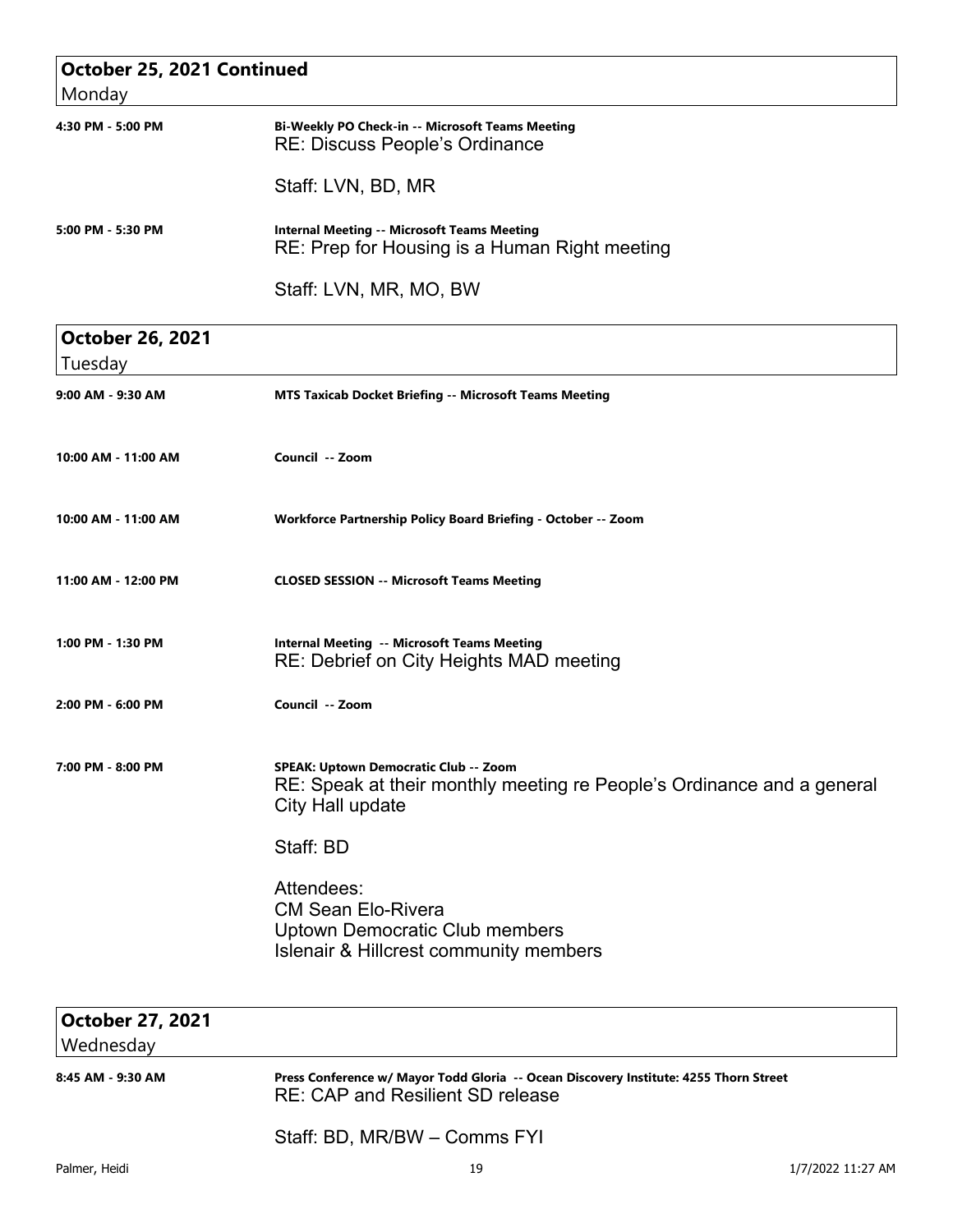| October 25, 2021 Continued<br>Monday |                                                                                                                                       |
|--------------------------------------|---------------------------------------------------------------------------------------------------------------------------------------|
| 4:30 PM - 5:00 PM                    | Bi-Weekly PO Check-in -- Microsoft Teams Meeting<br><b>RE: Discuss People's Ordinance</b>                                             |
|                                      | Staff: LVN, BD, MR                                                                                                                    |
| 5:00 PM - 5:30 PM                    | <b>Internal Meeting -- Microsoft Teams Meeting</b><br>RE: Prep for Housing is a Human Right meeting                                   |
|                                      | Staff: LVN, MR, MO, BW                                                                                                                |
| <b>October 26, 2021</b><br>Tuesday   |                                                                                                                                       |
| 9:00 AM - 9:30 AM                    | <b>MTS Taxicab Docket Briefing -- Microsoft Teams Meeting</b>                                                                         |
| 10:00 AM - 11:00 AM                  | Council -- Zoom                                                                                                                       |
| 10:00 AM - 11:00 AM                  | Workforce Partnership Policy Board Briefing - October -- Zoom                                                                         |
| 11:00 AM - 12:00 PM                  | <b>CLOSED SESSION -- Microsoft Teams Meeting</b>                                                                                      |
| 1:00 PM - 1:30 PM                    | <b>Internal Meeting -- Microsoft Teams Meeting</b><br>RE: Debrief on City Heights MAD meeting                                         |
| 2:00 PM - 6:00 PM                    | Council -- Zoom                                                                                                                       |
| 7:00 PM - 8:00 PM                    | SPEAK: Uptown Democratic Club -- Zoom<br>RE: Speak at their monthly meeting re People's Ordinance and a general<br>City Hall update   |
|                                      | Staff: BD                                                                                                                             |
|                                      | Attendees:<br><b>CM Sean Elo-Rivera</b><br><b>Uptown Democratic Club members</b><br><b>Islenair &amp; Hillcrest community members</b> |

| <b>October 27, 2021</b><br>Wednesday |                                                                                                                                  |                   |
|--------------------------------------|----------------------------------------------------------------------------------------------------------------------------------|-------------------|
| 8:45 AM - 9:30 AM                    | Press Conference w/ Mayor Todd Gloria -- Ocean Discovery Institute: 4255 Thorn Street<br><b>RE: CAP and Resilient SD release</b> |                   |
|                                      | Staff: BD, MR/BW - Comms FYI                                                                                                     |                   |
| Palmer, Heidi                        | 19                                                                                                                               | 1/7/2022 11:27 AM |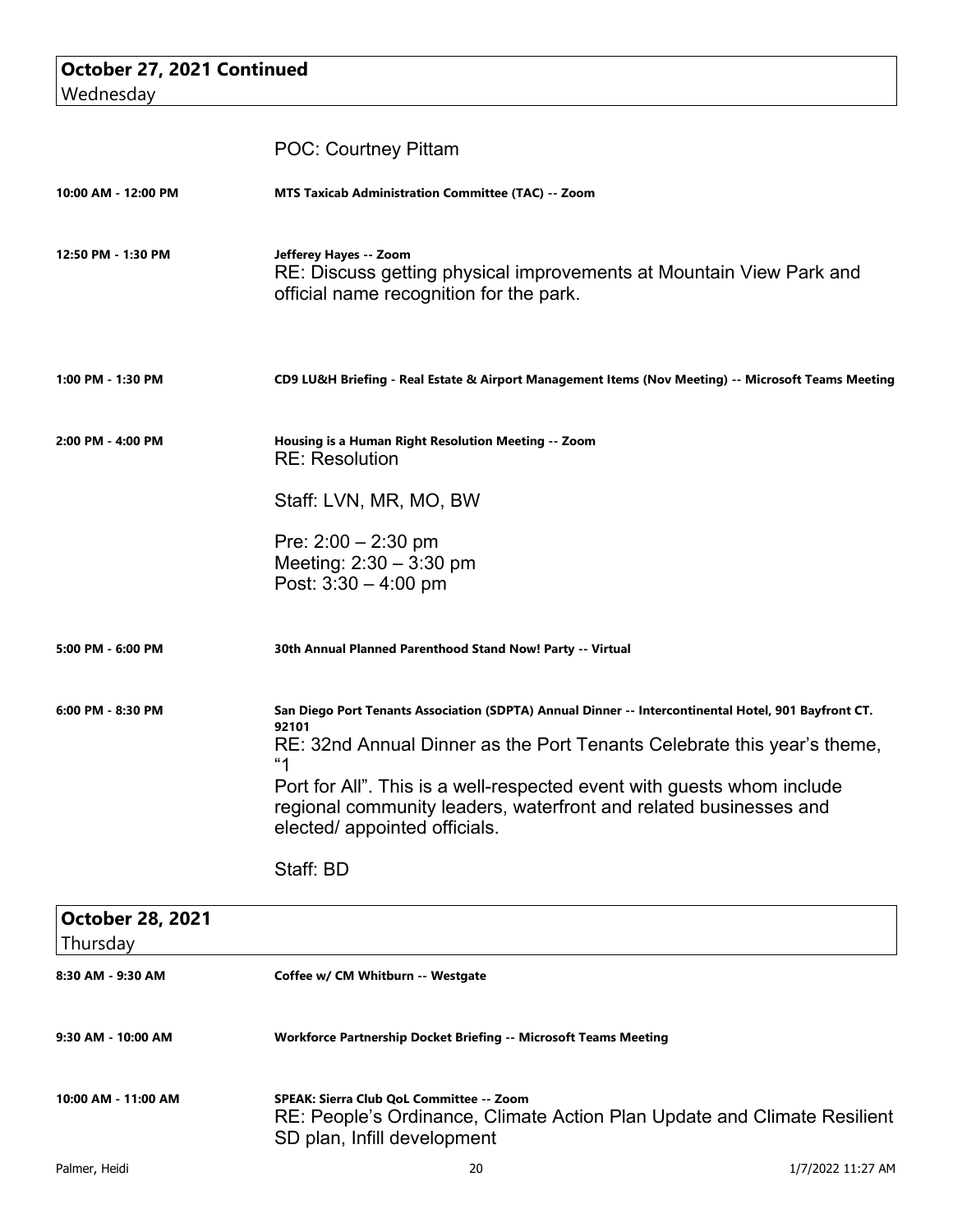| October 27, 2021 Continued |                                                                                                                                                                                                                                                                                                                                                                                |
|----------------------------|--------------------------------------------------------------------------------------------------------------------------------------------------------------------------------------------------------------------------------------------------------------------------------------------------------------------------------------------------------------------------------|
| Wednesday                  |                                                                                                                                                                                                                                                                                                                                                                                |
|                            | <b>POC: Courtney Pittam</b>                                                                                                                                                                                                                                                                                                                                                    |
| 10:00 AM - 12:00 PM        | <b>MTS Taxicab Administration Committee (TAC) -- Zoom</b>                                                                                                                                                                                                                                                                                                                      |
| 12:50 PM - 1:30 PM         | Jefferey Hayes -- Zoom<br>RE: Discuss getting physical improvements at Mountain View Park and<br>official name recognition for the park.                                                                                                                                                                                                                                       |
| 1:00 PM - 1:30 PM          | CD9 LU&H Briefing - Real Estate & Airport Management Items (Nov Meeting) -- Microsoft Teams Meeting                                                                                                                                                                                                                                                                            |
| 2:00 PM - 4:00 PM          | Housing is a Human Right Resolution Meeting -- Zoom<br><b>RE: Resolution</b>                                                                                                                                                                                                                                                                                                   |
|                            | Staff: LVN, MR, MO, BW                                                                                                                                                                                                                                                                                                                                                         |
|                            | Pre: $2:00 - 2:30$ pm<br>Meeting: $2:30 - 3:30$ pm<br>Post: $3:30 - 4:00$ pm                                                                                                                                                                                                                                                                                                   |
| 5:00 PM - 6:00 PM          | 30th Annual Planned Parenthood Stand Now! Party -- Virtual                                                                                                                                                                                                                                                                                                                     |
| 6:00 PM - 8:30 PM          | San Diego Port Tenants Association (SDPTA) Annual Dinner -- Intercontinental Hotel, 901 Bayfront CT.<br>92101<br>RE: 32nd Annual Dinner as the Port Tenants Celebrate this year's theme,<br>"1<br>Port for All". This is a well-respected event with guests whom include<br>regional community leaders, waterfront and related businesses and<br>elected/ appointed officials. |
| $Oth$ chor 20 2021         | Staff: BD                                                                                                                                                                                                                                                                                                                                                                      |

| <b>October 28, 2021</b><br>Thursday                                                                                                                                        |                                                                  |                   |
|----------------------------------------------------------------------------------------------------------------------------------------------------------------------------|------------------------------------------------------------------|-------------------|
| 8:30 AM - 9:30 AM                                                                                                                                                          | Coffee w/ CM Whitburn -- Westgate                                |                   |
| 9:30 AM - 10:00 AM                                                                                                                                                         | Workforce Partnership Docket Briefing -- Microsoft Teams Meeting |                   |
| 10:00 AM - 11:00 AM<br>SPEAK: Sierra Club QoL Committee -- Zoom<br>RE: People's Ordinance, Climate Action Plan Update and Climate Resilient<br>SD plan, Infill development |                                                                  |                   |
| Palmer, Heidi                                                                                                                                                              | 20                                                               | 1/7/2022 11:27 AM |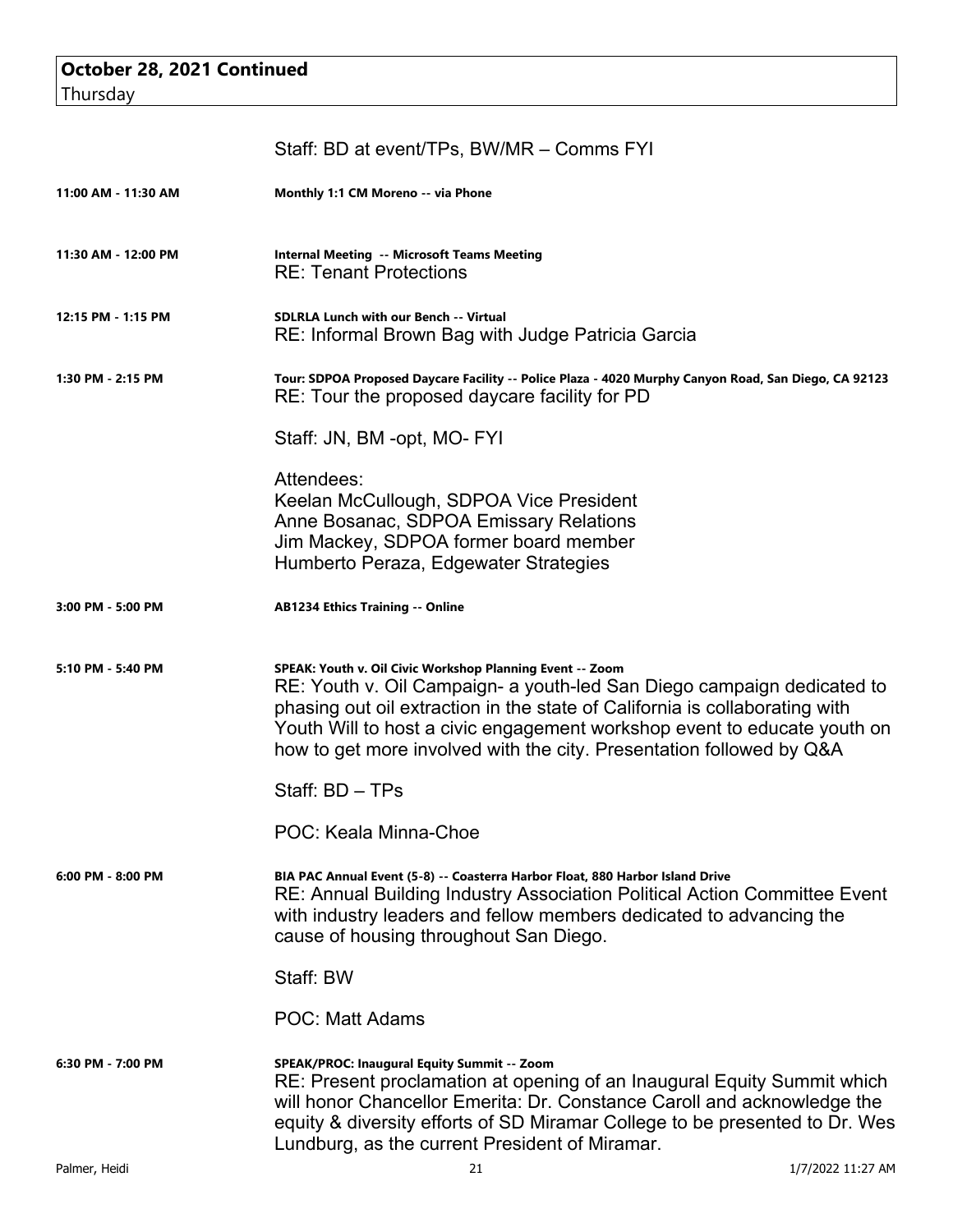| October 28, 2021 Continued |  |
|----------------------------|--|
| Thursday                   |  |

|                     | Staff: BD at event/TPs, BW/MR - Comms FYI                                                                                                                                                                                                                                                                                                                              |                   |
|---------------------|------------------------------------------------------------------------------------------------------------------------------------------------------------------------------------------------------------------------------------------------------------------------------------------------------------------------------------------------------------------------|-------------------|
| 11:00 AM - 11:30 AM | Monthly 1:1 CM Moreno -- via Phone                                                                                                                                                                                                                                                                                                                                     |                   |
| 11:30 AM - 12:00 PM | <b>Internal Meeting -- Microsoft Teams Meeting</b><br><b>RE: Tenant Protections</b>                                                                                                                                                                                                                                                                                    |                   |
| 12:15 PM - 1:15 PM  | <b>SDLRLA Lunch with our Bench -- Virtual</b><br>RE: Informal Brown Bag with Judge Patricia Garcia                                                                                                                                                                                                                                                                     |                   |
| 1:30 PM - 2:15 PM   | Tour: SDPOA Proposed Daycare Facility -- Police Plaza - 4020 Murphy Canyon Road, San Diego, CA 92123<br>RE: Tour the proposed daycare facility for PD                                                                                                                                                                                                                  |                   |
|                     | Staff: JN, BM -opt, MO- FYI                                                                                                                                                                                                                                                                                                                                            |                   |
|                     | Attendees:<br>Keelan McCullough, SDPOA Vice President<br>Anne Bosanac, SDPOA Emissary Relations<br>Jim Mackey, SDPOA former board member<br>Humberto Peraza, Edgewater Strategies                                                                                                                                                                                      |                   |
| 3:00 PM - 5:00 PM   | <b>AB1234 Ethics Training -- Online</b>                                                                                                                                                                                                                                                                                                                                |                   |
| 5:10 PM - 5:40 PM   | SPEAK: Youth v. Oil Civic Workshop Planning Event -- Zoom<br>RE: Youth v. Oil Campaign- a youth-led San Diego campaign dedicated to<br>phasing out oil extraction in the state of California is collaborating with<br>Youth Will to host a civic engagement workshop event to educate youth on<br>how to get more involved with the city. Presentation followed by Q&A |                   |
|                     | Staff: BD - TPs                                                                                                                                                                                                                                                                                                                                                        |                   |
|                     | POC: Keala Minna-Choe                                                                                                                                                                                                                                                                                                                                                  |                   |
| 6:00 PM - 8:00 PM   | BIA PAC Annual Event (5-8) -- Coasterra Harbor Float, 880 Harbor Island Drive<br>RE: Annual Building Industry Association Political Action Committee Event<br>with industry leaders and fellow members dedicated to advancing the<br>cause of housing throughout San Diego.                                                                                            |                   |
|                     | Staff: BW                                                                                                                                                                                                                                                                                                                                                              |                   |
|                     | <b>POC: Matt Adams</b>                                                                                                                                                                                                                                                                                                                                                 |                   |
| 6:30 PM - 7:00 PM   | SPEAK/PROC: Inaugural Equity Summit -- Zoom<br>RE: Present proclamation at opening of an Inaugural Equity Summit which<br>will honor Chancellor Emerita: Dr. Constance Caroll and acknowledge the<br>equity & diversity efforts of SD Miramar College to be presented to Dr. Wes<br>Lundburg, as the current President of Miramar.                                     |                   |
| Palmer, Heidi       | 21                                                                                                                                                                                                                                                                                                                                                                     | 1/7/2022 11:27 AM |